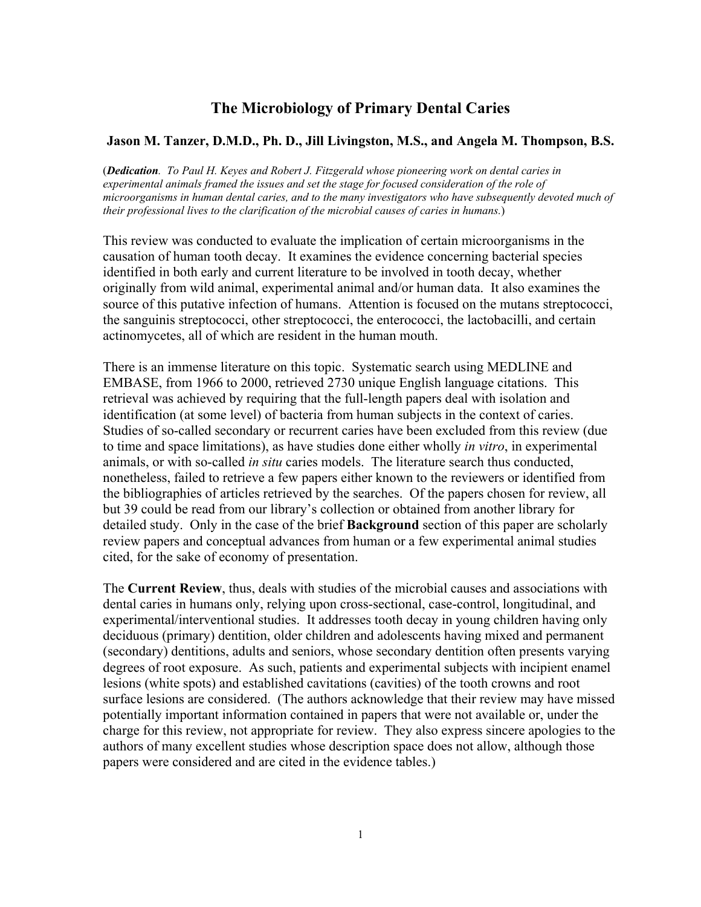# **The Microbiology of Primary Dental Caries**

### **Jason M. Tanzer, D.M.D., Ph. D., Jill Livingston, M.S., and Angela M. Thompson, B.S.**

(*Dedication. To Paul H. Keyes and Robert J. Fitzgerald whose pioneering work on dental caries in experimental animals framed the issues and set the stage for focused consideration of the role of microorganisms in human dental caries, and to the many investigators who have subsequently devoted much of their professional lives to the clarification of the microbial causes of caries in humans.*)

This review was conducted to evaluate the implication of certain microorganisms in the causation of human tooth decay. It examines the evidence concerning bacterial species identified in both early and current literature to be involved in tooth decay, whether originally from wild animal, experimental animal and/or human data. It also examines the source of this putative infection of humans. Attention is focused on the mutans streptococci, the sanguinis streptococci, other streptococci, the enterococci, the lactobacilli, and certain actinomycetes, all of which are resident in the human mouth.

There is an immense literature on this topic. Systematic search using MEDLINE and EMBASE, from 1966 to 2000, retrieved 2730 unique English language citations. This retrieval was achieved by requiring that the full-length papers deal with isolation and identification (at some level) of bacteria from human subjects in the context of caries. Studies of so-called secondary or recurrent caries have been excluded from this review (due to time and space limitations), as have studies done either wholly *in vitro*, in experimental animals, or with so-called *in situ* caries models. The literature search thus conducted, nonetheless, failed to retrieve a few papers either known to the reviewers or identified from the bibliographies of articles retrieved by the searches. Of the papers chosen for review, all but 39 could be read from our library's collection or obtained from another library for detailed study. Only in the case of the brief **Background** section of this paper are scholarly review papers and conceptual advances from human or a few experimental animal studies cited, for the sake of economy of presentation.

The **Current Review**, thus, deals with studies of the microbial causes and associations with dental caries in humans only, relying upon cross-sectional, case-control, longitudinal, and experimental/interventional studies. It addresses tooth decay in young children having only deciduous (primary) dentition, older children and adolescents having mixed and permanent (secondary) dentitions, adults and seniors, whose secondary dentition often presents varying degrees of root exposure. As such, patients and experimental subjects with incipient enamel lesions (white spots) and established cavitations (cavities) of the tooth crowns and root surface lesions are considered. (The authors acknowledge that their review may have missed potentially important information contained in papers that were not available or, under the charge for this review, not appropriate for review. They also express sincere apologies to the authors of many excellent studies whose description space does not allow, although those papers were considered and are cited in the evidence tables.)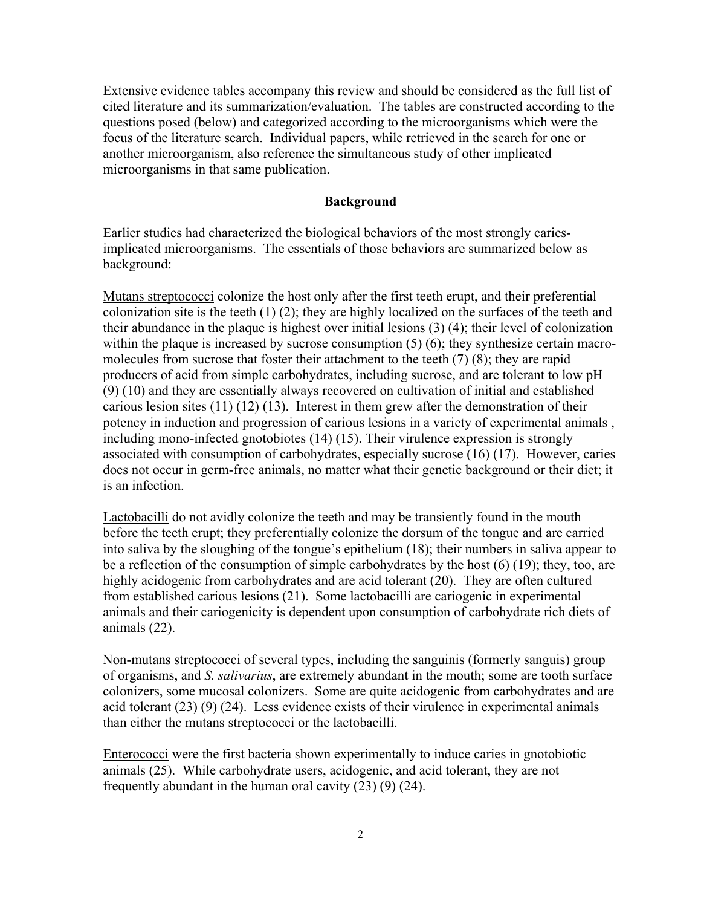Extensive evidence tables accompany this review and should be considered as the full list of cited literature and its summarization/evaluation. The tables are constructed according to the questions posed (below) and categorized according to the microorganisms which were the focus of the literature search. Individual papers, while retrieved in the search for one or another microorganism, also reference the simultaneous study of other implicated microorganisms in that same publication.

#### **Background**

Earlier studies had characterized the biological behaviors of the most strongly cariesimplicated microorganisms. The essentials of those behaviors are summarized below as background:

Mutans streptococci colonize the host only after the first teeth erupt, and their preferential colonization site is the teeth (1) (2); they are highly localized on the surfaces of the teeth and their abundance in the plaque is highest over initial lesions (3) (4); their level of colonization within the plaque is increased by sucrose consumption (5) (6); they synthesize certain macromolecules from sucrose that foster their attachment to the teeth (7) (8); they are rapid producers of acid from simple carbohydrates, including sucrose, and are tolerant to low pH (9) (10) and they are essentially always recovered on cultivation of initial and established carious lesion sites (11) (12) (13). Interest in them grew after the demonstration of their potency in induction and progression of carious lesions in a variety of experimental animals , including mono-infected gnotobiotes (14) (15). Their virulence expression is strongly associated with consumption of carbohydrates, especially sucrose (16) (17). However, caries does not occur in germ-free animals, no matter what their genetic background or their diet; it is an infection.

Lactobacilli do not avidly colonize the teeth and may be transiently found in the mouth before the teeth erupt; they preferentially colonize the dorsum of the tongue and are carried into saliva by the sloughing of the tongue's epithelium (18); their numbers in saliva appear to be a reflection of the consumption of simple carbohydrates by the host (6) (19); they, too, are highly acidogenic from carbohydrates and are acid tolerant (20). They are often cultured from established carious lesions (21). Some lactobacilli are cariogenic in experimental animals and their cariogenicity is dependent upon consumption of carbohydrate rich diets of animals (22).

Non-mutans streptococci of several types, including the sanguinis (formerly sanguis) group of organisms, and *S. salivarius*, are extremely abundant in the mouth; some are tooth surface colonizers, some mucosal colonizers. Some are quite acidogenic from carbohydrates and are acid tolerant (23) (9) (24). Less evidence exists of their virulence in experimental animals than either the mutans streptococci or the lactobacilli.

Enterococci were the first bacteria shown experimentally to induce caries in gnotobiotic animals (25). While carbohydrate users, acidogenic, and acid tolerant, they are not frequently abundant in the human oral cavity (23) (9) (24).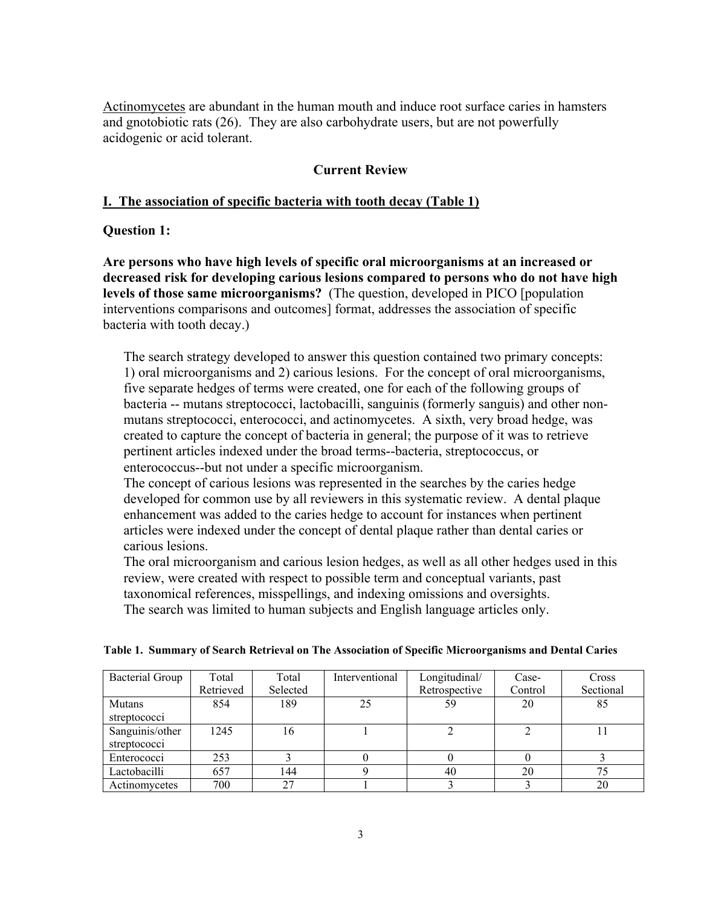Actinomycetes are abundant in the human mouth and induce root surface caries in hamsters and gnotobiotic rats (26). They are also carbohydrate users, but are not powerfully acidogenic or acid tolerant.

### **Current Review**

### **I. The association of specific bacteria with tooth decay (Table 1)**

#### **Question 1:**

**Are persons who have high levels of specific oral microorganisms at an increased or decreased risk for developing carious lesions compared to persons who do not have high levels of those same microorganisms?** (The question, developed in PICO [population interventions comparisons and outcomes] format, addresses the association of specific bacteria with tooth decay.)

The search strategy developed to answer this question contained two primary concepts: 1) oral microorganisms and 2) carious lesions. For the concept of oral microorganisms, five separate hedges of terms were created, one for each of the following groups of bacteria -- mutans streptococci, lactobacilli, sanguinis (formerly sanguis) and other nonmutans streptococci, enterococci, and actinomycetes. A sixth, very broad hedge, was created to capture the concept of bacteria in general; the purpose of it was to retrieve pertinent articles indexed under the broad terms--bacteria, streptococcus, or enterococcus--but not under a specific microorganism.

The concept of carious lesions was represented in the searches by the caries hedge developed for common use by all reviewers in this systematic review. A dental plaque enhancement was added to the caries hedge to account for instances when pertinent articles were indexed under the concept of dental plaque rather than dental caries or carious lesions.

The oral microorganism and carious lesion hedges, as well as all other hedges used in this review, were created with respect to possible term and conceptual variants, past taxonomical references, misspellings, and indexing omissions and oversights. The search was limited to human subjects and English language articles only.

| <b>Bacterial Group</b> | Total     | Total    | Interventional | Longitudinal/ | Case-   | Cross     |
|------------------------|-----------|----------|----------------|---------------|---------|-----------|
|                        | Retrieved | Selected |                | Retrospective | Control | Sectional |
| Mutans                 | 854       | 189      | 25             | 59            | 20      | 85        |
| streptococci           |           |          |                |               |         |           |
| Sanguinis/other        | 1245      | 16       |                |               |         |           |
| streptococci           |           |          |                |               |         |           |
| Enterococci            | 253       |          |                |               |         |           |
| Lactobacilli           | 657       | 144      |                | 40            | 20      | 75        |
| Actinomycetes          | 700       | 27       |                |               |         | 20        |

|  |  |  |  | Table 1. Summary of Search Retrieval on The Association of Specific Microorganisms and Dental Caries |
|--|--|--|--|------------------------------------------------------------------------------------------------------|
|  |  |  |  |                                                                                                      |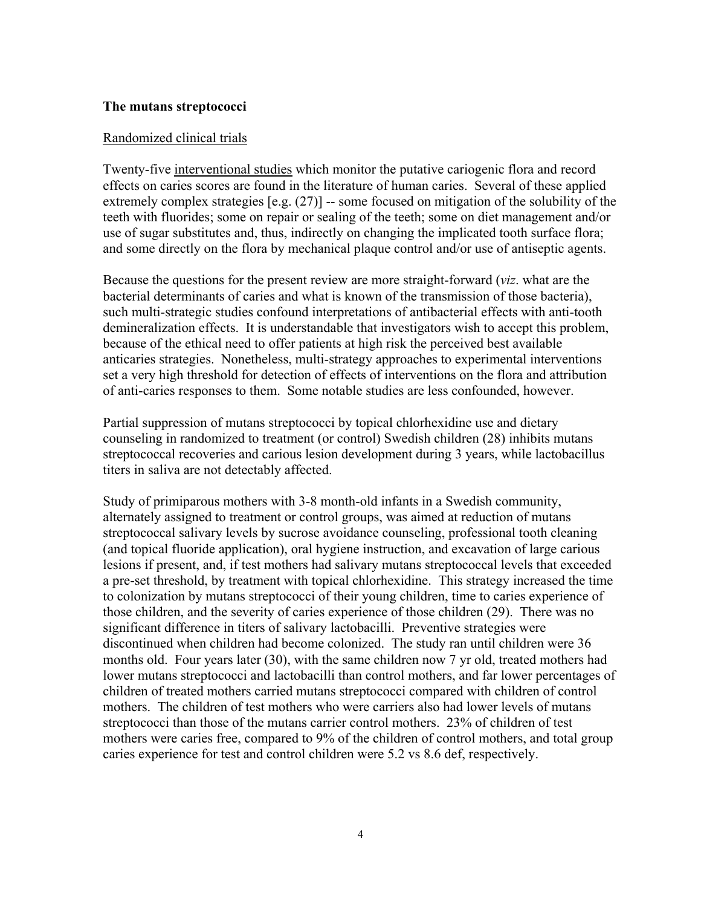#### **The mutans streptococci**

#### Randomized clinical trials

Twenty-five interventional studies which monitor the putative cariogenic flora and record effects on caries scores are found in the literature of human caries. Several of these applied extremely complex strategies [e.g. (27)] -- some focused on mitigation of the solubility of the teeth with fluorides; some on repair or sealing of the teeth; some on diet management and/or use of sugar substitutes and, thus, indirectly on changing the implicated tooth surface flora; and some directly on the flora by mechanical plaque control and/or use of antiseptic agents.

Because the questions for the present review are more straight-forward (*viz*. what are the bacterial determinants of caries and what is known of the transmission of those bacteria), such multi-strategic studies confound interpretations of antibacterial effects with anti-tooth demineralization effects. It is understandable that investigators wish to accept this problem, because of the ethical need to offer patients at high risk the perceived best available anticaries strategies. Nonetheless, multi-strategy approaches to experimental interventions set a very high threshold for detection of effects of interventions on the flora and attribution of anti-caries responses to them. Some notable studies are less confounded, however.

Partial suppression of mutans streptococci by topical chlorhexidine use and dietary counseling in randomized to treatment (or control) Swedish children (28) inhibits mutans streptococcal recoveries and carious lesion development during 3 years, while lactobacillus titers in saliva are not detectably affected.

Study of primiparous mothers with 3-8 month-old infants in a Swedish community, alternately assigned to treatment or control groups, was aimed at reduction of mutans streptococcal salivary levels by sucrose avoidance counseling, professional tooth cleaning (and topical fluoride application), oral hygiene instruction, and excavation of large carious lesions if present, and, if test mothers had salivary mutans streptococcal levels that exceeded a pre-set threshold, by treatment with topical chlorhexidine. This strategy increased the time to colonization by mutans streptococci of their young children, time to caries experience of those children, and the severity of caries experience of those children (29). There was no significant difference in titers of salivary lactobacilli. Preventive strategies were discontinued when children had become colonized. The study ran until children were 36 months old. Four years later (30), with the same children now 7 yr old, treated mothers had lower mutans streptococci and lactobacilli than control mothers, and far lower percentages of children of treated mothers carried mutans streptococci compared with children of control mothers. The children of test mothers who were carriers also had lower levels of mutans streptococci than those of the mutans carrier control mothers. 23% of children of test mothers were caries free, compared to 9% of the children of control mothers, and total group caries experience for test and control children were 5.2 vs 8.6 def, respectively.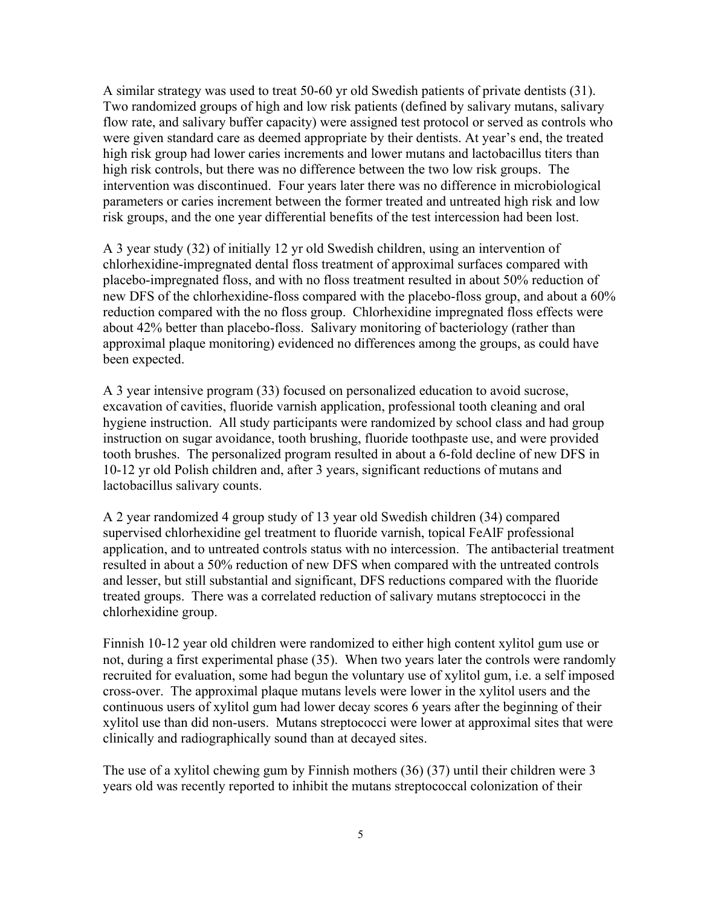A similar strategy was used to treat 50-60 yr old Swedish patients of private dentists (31). Two randomized groups of high and low risk patients (defined by salivary mutans, salivary flow rate, and salivary buffer capacity) were assigned test protocol or served as controls who were given standard care as deemed appropriate by their dentists. At year's end, the treated high risk group had lower caries increments and lower mutans and lactobacillus titers than high risk controls, but there was no difference between the two low risk groups. The intervention was discontinued. Four years later there was no difference in microbiological parameters or caries increment between the former treated and untreated high risk and low risk groups, and the one year differential benefits of the test intercession had been lost.

A 3 year study (32) of initially 12 yr old Swedish children, using an intervention of chlorhexidine-impregnated dental floss treatment of approximal surfaces compared with placebo-impregnated floss, and with no floss treatment resulted in about 50% reduction of new DFS of the chlorhexidine-floss compared with the placebo-floss group, and about a 60% reduction compared with the no floss group. Chlorhexidine impregnated floss effects were about 42% better than placebo-floss. Salivary monitoring of bacteriology (rather than approximal plaque monitoring) evidenced no differences among the groups, as could have been expected.

A 3 year intensive program (33) focused on personalized education to avoid sucrose, excavation of cavities, fluoride varnish application, professional tooth cleaning and oral hygiene instruction. All study participants were randomized by school class and had group instruction on sugar avoidance, tooth brushing, fluoride toothpaste use, and were provided tooth brushes. The personalized program resulted in about a 6-fold decline of new DFS in 10-12 yr old Polish children and, after 3 years, significant reductions of mutans and lactobacillus salivary counts.

A 2 year randomized 4 group study of 13 year old Swedish children (34) compared supervised chlorhexidine gel treatment to fluoride varnish, topical FeAlF professional application, and to untreated controls status with no intercession. The antibacterial treatment resulted in about a 50% reduction of new DFS when compared with the untreated controls and lesser, but still substantial and significant, DFS reductions compared with the fluoride treated groups. There was a correlated reduction of salivary mutans streptococci in the chlorhexidine group.

Finnish 10-12 year old children were randomized to either high content xylitol gum use or not, during a first experimental phase (35). When two years later the controls were randomly recruited for evaluation, some had begun the voluntary use of xylitol gum, i.e. a self imposed cross-over. The approximal plaque mutans levels were lower in the xylitol users and the continuous users of xylitol gum had lower decay scores 6 years after the beginning of their xylitol use than did non-users. Mutans streptococci were lower at approximal sites that were clinically and radiographically sound than at decayed sites.

The use of a xylitol chewing gum by Finnish mothers (36) (37) until their children were 3 years old was recently reported to inhibit the mutans streptococcal colonization of their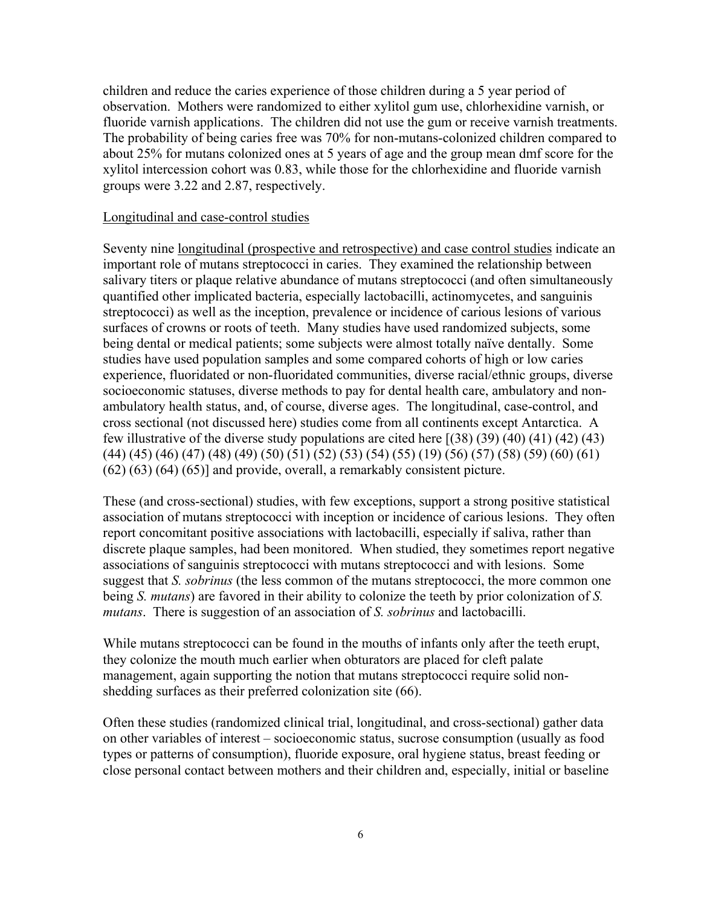children and reduce the caries experience of those children during a 5 year period of observation. Mothers were randomized to either xylitol gum use, chlorhexidine varnish, or fluoride varnish applications. The children did not use the gum or receive varnish treatments. The probability of being caries free was 70% for non-mutans-colonized children compared to about 25% for mutans colonized ones at 5 years of age and the group mean dmf score for the xylitol intercession cohort was 0.83, while those for the chlorhexidine and fluoride varnish groups were 3.22 and 2.87, respectively.

#### Longitudinal and case-control studies

Seventy nine longitudinal (prospective and retrospective) and case control studies indicate an important role of mutans streptococci in caries. They examined the relationship between salivary titers or plaque relative abundance of mutans streptococci (and often simultaneously quantified other implicated bacteria, especially lactobacilli, actinomycetes, and sanguinis streptococci) as well as the inception, prevalence or incidence of carious lesions of various surfaces of crowns or roots of teeth. Many studies have used randomized subjects, some being dental or medical patients; some subjects were almost totally naïve dentally. Some studies have used population samples and some compared cohorts of high or low caries experience, fluoridated or non-fluoridated communities, diverse racial/ethnic groups, diverse socioeconomic statuses, diverse methods to pay for dental health care, ambulatory and nonambulatory health status, and, of course, diverse ages. The longitudinal, case-control, and cross sectional (not discussed here) studies come from all continents except Antarctica. A few illustrative of the diverse study populations are cited here [(38) (39) (40) (41) (42) (43) (44) (45) (46) (47) (48) (49) (50) (51) (52) (53) (54) (55) (19) (56) (57) (58) (59) (60) (61) (62) (63) (64) (65)] and provide, overall, a remarkably consistent picture.

These (and cross-sectional) studies, with few exceptions, support a strong positive statistical association of mutans streptococci with inception or incidence of carious lesions. They often report concomitant positive associations with lactobacilli, especially if saliva, rather than discrete plaque samples, had been monitored. When studied, they sometimes report negative associations of sanguinis streptococci with mutans streptococci and with lesions. Some suggest that *S. sobrinus* (the less common of the mutans streptococci, the more common one being *S. mutans*) are favored in their ability to colonize the teeth by prior colonization of *S. mutans*. There is suggestion of an association of *S. sobrinus* and lactobacilli.

While mutans streptococci can be found in the mouths of infants only after the teeth erupt, they colonize the mouth much earlier when obturators are placed for cleft palate management, again supporting the notion that mutans streptococci require solid nonshedding surfaces as their preferred colonization site (66).

Often these studies (randomized clinical trial, longitudinal, and cross-sectional) gather data on other variables of interest – socioeconomic status, sucrose consumption (usually as food types or patterns of consumption), fluoride exposure, oral hygiene status, breast feeding or close personal contact between mothers and their children and, especially, initial or baseline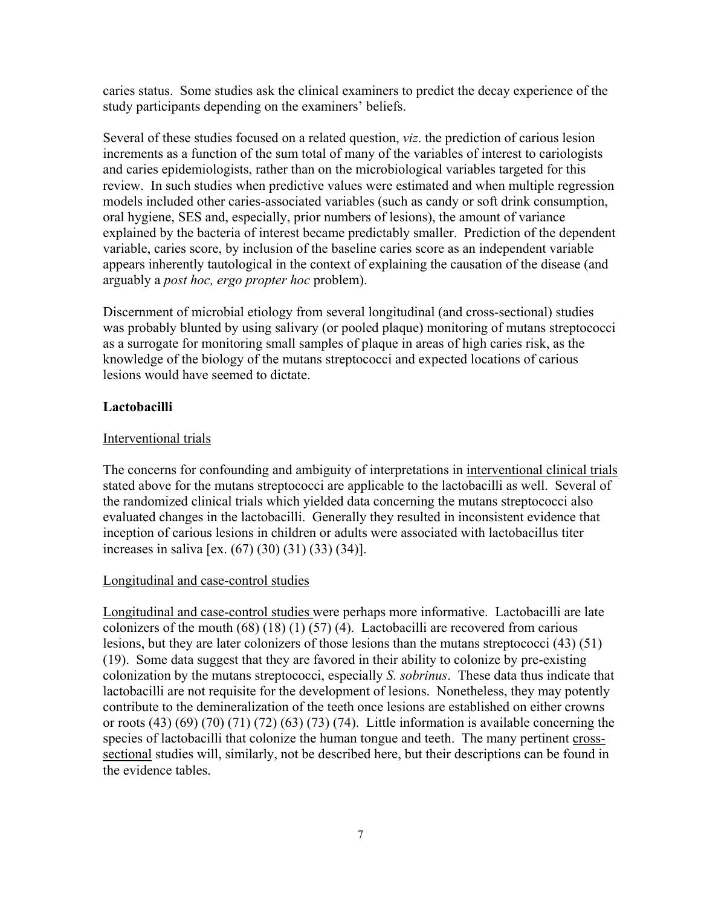caries status. Some studies ask the clinical examiners to predict the decay experience of the study participants depending on the examiners' beliefs.

Several of these studies focused on a related question, *viz*. the prediction of carious lesion increments as a function of the sum total of many of the variables of interest to cariologists and caries epidemiologists, rather than on the microbiological variables targeted for this review. In such studies when predictive values were estimated and when multiple regression models included other caries-associated variables (such as candy or soft drink consumption, oral hygiene, SES and, especially, prior numbers of lesions), the amount of variance explained by the bacteria of interest became predictably smaller. Prediction of the dependent variable, caries score, by inclusion of the baseline caries score as an independent variable appears inherently tautological in the context of explaining the causation of the disease (and arguably a *post hoc, ergo propter hoc* problem).

Discernment of microbial etiology from several longitudinal (and cross-sectional) studies was probably blunted by using salivary (or pooled plaque) monitoring of mutans streptococci as a surrogate for monitoring small samples of plaque in areas of high caries risk, as the knowledge of the biology of the mutans streptococci and expected locations of carious lesions would have seemed to dictate.

# **Lactobacilli**

# Interventional trials

The concerns for confounding and ambiguity of interpretations in interventional clinical trials stated above for the mutans streptococci are applicable to the lactobacilli as well. Several of the randomized clinical trials which yielded data concerning the mutans streptococci also evaluated changes in the lactobacilli. Generally they resulted in inconsistent evidence that inception of carious lesions in children or adults were associated with lactobacillus titer increases in saliva [ex. (67) (30) (31) (33) (34)].

# Longitudinal and case-control studies

Longitudinal and case-control studies were perhaps more informative. Lactobacilli are late colonizers of the mouth  $(68)$   $(18)$   $(1)$   $(57)$   $(4)$ . Lactobacilli are recovered from carious lesions, but they are later colonizers of those lesions than the mutans streptococci (43) (51) (19). Some data suggest that they are favored in their ability to colonize by pre-existing colonization by the mutans streptococci, especially *S. sobrinus*. These data thus indicate that lactobacilli are not requisite for the development of lesions. Nonetheless, they may potently contribute to the demineralization of the teeth once lesions are established on either crowns or roots  $(43)$   $(69)$   $(70)$   $(71)$   $(72)$   $(63)$   $(73)$   $(74)$ . Little information is available concerning the species of lactobacilli that colonize the human tongue and teeth. The many pertinent crosssectional studies will, similarly, not be described here, but their descriptions can be found in the evidence tables.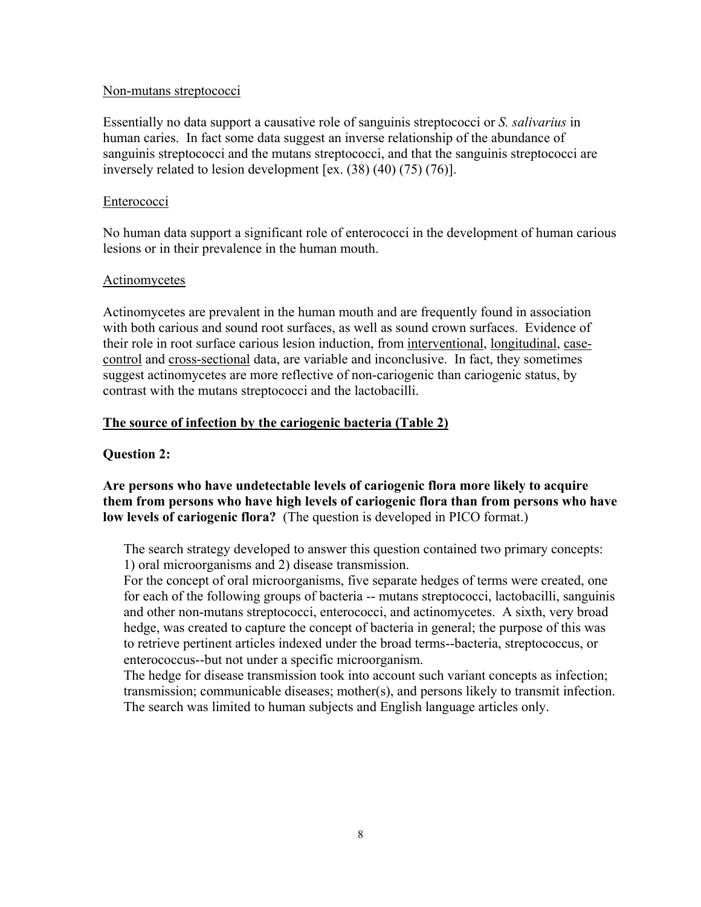#### Non-mutans streptococci

Essentially no data support a causative role of sanguinis streptococci or *S. salivarius* in human caries. In fact some data suggest an inverse relationship of the abundance of sanguinis streptococci and the mutans streptococci, and that the sanguinis streptococci are inversely related to lesion development [ex. (38) (40) (75) (76)].

# Enterococci

No human data support a significant role of enterococci in the development of human carious lesions or in their prevalence in the human mouth.

### Actinomycetes

Actinomycetes are prevalent in the human mouth and are frequently found in association with both carious and sound root surfaces, as well as sound crown surfaces. Evidence of their role in root surface carious lesion induction, from interventional, longitudinal, casecontrol and cross-sectional data, are variable and inconclusive. In fact, they sometimes suggest actinomycetes are more reflective of non-cariogenic than cariogenic status, by contrast with the mutans streptococci and the lactobacilli.

# **The source of infection by the cariogenic bacteria (Table 2)**

# **Question 2:**

# **Are persons who have undetectable levels of cariogenic flora more likely to acquire them from persons who have high levels of cariogenic flora than from persons who have low levels of cariogenic flora?** (The question is developed in PICO format.)

The search strategy developed to answer this question contained two primary concepts: 1) oral microorganisms and 2) disease transmission.

For the concept of oral microorganisms, five separate hedges of terms were created, one for each of the following groups of bacteria -- mutans streptococci, lactobacilli, sanguinis and other non-mutans streptococci, enterococci, and actinomycetes. A sixth, very broad hedge, was created to capture the concept of bacteria in general; the purpose of this was to retrieve pertinent articles indexed under the broad terms--bacteria, streptococcus, or enterococcus--but not under a specific microorganism.

The hedge for disease transmission took into account such variant concepts as infection; transmission; communicable diseases; mother(s), and persons likely to transmit infection. The search was limited to human subjects and English language articles only.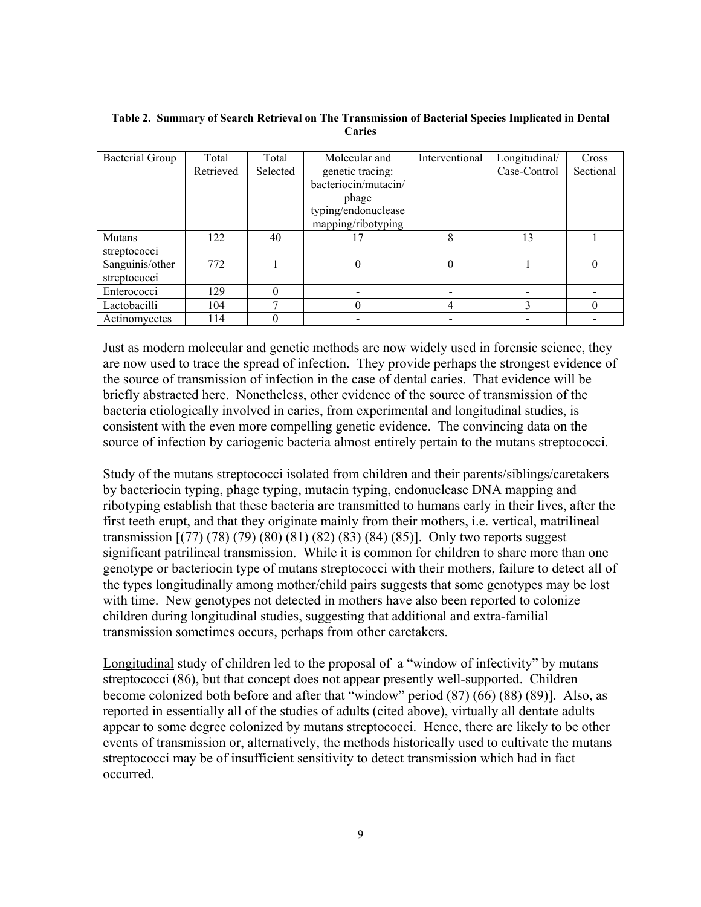| <b>Bacterial Group</b> | Total     | Total    | Molecular and        | Interventional | Longitudinal/ | Cross     |
|------------------------|-----------|----------|----------------------|----------------|---------------|-----------|
|                        | Retrieved | Selected | genetic tracing:     |                | Case-Control  | Sectional |
|                        |           |          | bacteriocin/mutacin/ |                |               |           |
|                        |           |          | phage                |                |               |           |
|                        |           |          | typing/endonuclease  |                |               |           |
|                        |           |          | mapping/ribotyping   |                |               |           |
| <b>Mutans</b>          | 122       | 40       |                      | 8              | 13            |           |
| streptococci           |           |          |                      |                |               |           |
| Sanguinis/other        | 772       |          | 0                    | $\Omega$       |               |           |
| streptococci           |           |          |                      |                |               |           |
| Enterococci            | 129       |          |                      |                |               |           |
| Lactobacilli           | 104       |          |                      | 4              | ◠             |           |
| Actinomycetes          | 114       |          |                      |                |               |           |

#### **Table 2. Summary of Search Retrieval on The Transmission of Bacterial Species Implicated in Dental Caries**

Just as modern molecular and genetic methods are now widely used in forensic science, they are now used to trace the spread of infection. They provide perhaps the strongest evidence of the source of transmission of infection in the case of dental caries. That evidence will be briefly abstracted here. Nonetheless, other evidence of the source of transmission of the bacteria etiologically involved in caries, from experimental and longitudinal studies, is consistent with the even more compelling genetic evidence. The convincing data on the source of infection by cariogenic bacteria almost entirely pertain to the mutans streptococci.

Study of the mutans streptococci isolated from children and their parents/siblings/caretakers by bacteriocin typing, phage typing, mutacin typing, endonuclease DNA mapping and ribotyping establish that these bacteria are transmitted to humans early in their lives, after the first teeth erupt, and that they originate mainly from their mothers, i.e. vertical, matrilineal transmission [(77) (78) (79) (80) (81) (82) (83) (84) (85)]. Only two reports suggest significant patrilineal transmission. While it is common for children to share more than one genotype or bacteriocin type of mutans streptococci with their mothers, failure to detect all of the types longitudinally among mother/child pairs suggests that some genotypes may be lost with time. New genotypes not detected in mothers have also been reported to colonize children during longitudinal studies, suggesting that additional and extra-familial transmission sometimes occurs, perhaps from other caretakers.

Longitudinal study of children led to the proposal of a "window of infectivity" by mutans streptococci (86), but that concept does not appear presently well-supported. Children become colonized both before and after that "window" period (87) (66) (88) (89)]. Also, as reported in essentially all of the studies of adults (cited above), virtually all dentate adults appear to some degree colonized by mutans streptococci. Hence, there are likely to be other events of transmission or, alternatively, the methods historically used to cultivate the mutans streptococci may be of insufficient sensitivity to detect transmission which had in fact occurred.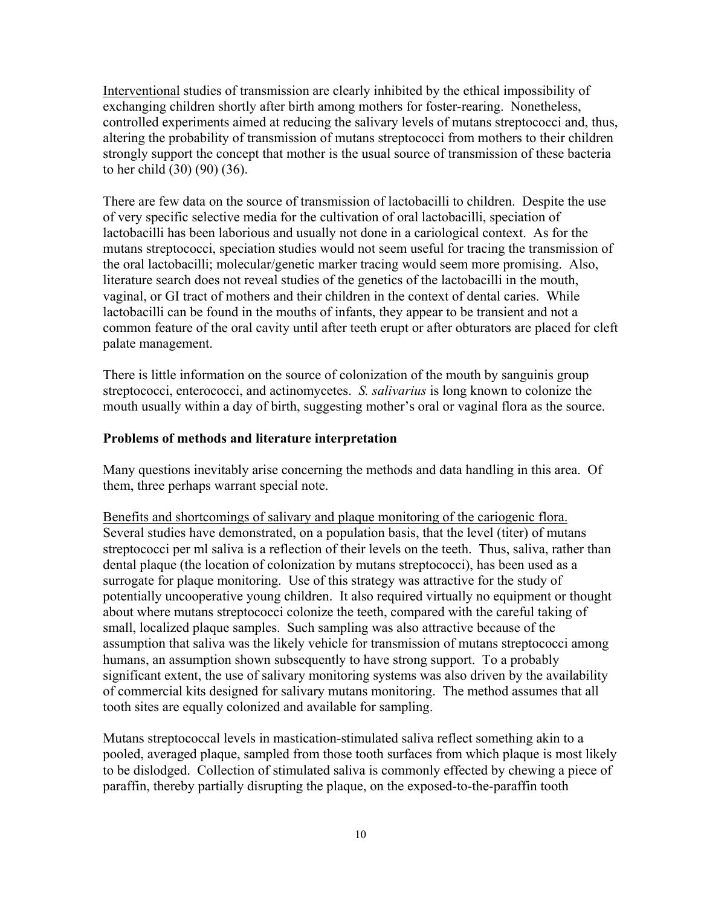Interventional studies of transmission are clearly inhibited by the ethical impossibility of exchanging children shortly after birth among mothers for foster-rearing. Nonetheless, controlled experiments aimed at reducing the salivary levels of mutans streptococci and, thus, altering the probability of transmission of mutans streptococci from mothers to their children strongly support the concept that mother is the usual source of transmission of these bacteria to her child (30) (90) (36).

There are few data on the source of transmission of lactobacilli to children. Despite the use of very specific selective media for the cultivation of oral lactobacilli, speciation of lactobacilli has been laborious and usually not done in a cariological context. As for the mutans streptococci, speciation studies would not seem useful for tracing the transmission of the oral lactobacilli; molecular/genetic marker tracing would seem more promising. Also, literature search does not reveal studies of the genetics of the lactobacilli in the mouth, vaginal, or GI tract of mothers and their children in the context of dental caries. While lactobacilli can be found in the mouths of infants, they appear to be transient and not a common feature of the oral cavity until after teeth erupt or after obturators are placed for cleft palate management.

There is little information on the source of colonization of the mouth by sanguinis group streptococci, enterococci, and actinomycetes. *S. salivarius* is long known to colonize the mouth usually within a day of birth, suggesting mother's oral or vaginal flora as the source.

### **Problems of methods and literature interpretation**

Many questions inevitably arise concerning the methods and data handling in this area. Of them, three perhaps warrant special note.

Benefits and shortcomings of salivary and plaque monitoring of the cariogenic flora. Several studies have demonstrated, on a population basis, that the level (titer) of mutans streptococci per ml saliva is a reflection of their levels on the teeth. Thus, saliva, rather than dental plaque (the location of colonization by mutans streptococci), has been used as a surrogate for plaque monitoring. Use of this strategy was attractive for the study of potentially uncooperative young children. It also required virtually no equipment or thought about where mutans streptococci colonize the teeth, compared with the careful taking of small, localized plaque samples. Such sampling was also attractive because of the assumption that saliva was the likely vehicle for transmission of mutans streptococci among humans, an assumption shown subsequently to have strong support. To a probably significant extent, the use of salivary monitoring systems was also driven by the availability of commercial kits designed for salivary mutans monitoring. The method assumes that all tooth sites are equally colonized and available for sampling.

Mutans streptococcal levels in mastication-stimulated saliva reflect something akin to a pooled, averaged plaque, sampled from those tooth surfaces from which plaque is most likely to be dislodged. Collection of stimulated saliva is commonly effected by chewing a piece of paraffin, thereby partially disrupting the plaque, on the exposed-to-the-paraffin tooth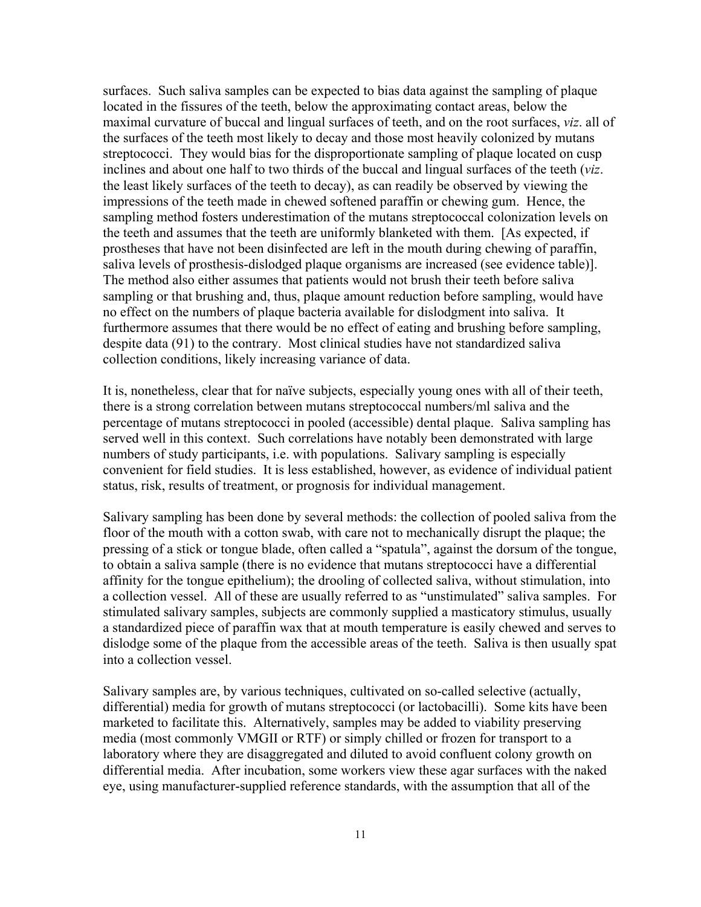surfaces. Such saliva samples can be expected to bias data against the sampling of plaque located in the fissures of the teeth, below the approximating contact areas, below the maximal curvature of buccal and lingual surfaces of teeth, and on the root surfaces, *viz*. all of the surfaces of the teeth most likely to decay and those most heavily colonized by mutans streptococci. They would bias for the disproportionate sampling of plaque located on cusp inclines and about one half to two thirds of the buccal and lingual surfaces of the teeth (*viz*. the least likely surfaces of the teeth to decay), as can readily be observed by viewing the impressions of the teeth made in chewed softened paraffin or chewing gum. Hence, the sampling method fosters underestimation of the mutans streptococcal colonization levels on the teeth and assumes that the teeth are uniformly blanketed with them. [As expected, if prostheses that have not been disinfected are left in the mouth during chewing of paraffin, saliva levels of prosthesis-dislodged plaque organisms are increased (see evidence table)]. The method also either assumes that patients would not brush their teeth before saliva sampling or that brushing and, thus, plaque amount reduction before sampling, would have no effect on the numbers of plaque bacteria available for dislodgment into saliva. It furthermore assumes that there would be no effect of eating and brushing before sampling, despite data (91) to the contrary. Most clinical studies have not standardized saliva collection conditions, likely increasing variance of data.

It is, nonetheless, clear that for naïve subjects, especially young ones with all of their teeth, there is a strong correlation between mutans streptococcal numbers/ml saliva and the percentage of mutans streptococci in pooled (accessible) dental plaque. Saliva sampling has served well in this context. Such correlations have notably been demonstrated with large numbers of study participants, i.e. with populations. Salivary sampling is especially convenient for field studies. It is less established, however, as evidence of individual patient status, risk, results of treatment, or prognosis for individual management.

Salivary sampling has been done by several methods: the collection of pooled saliva from the floor of the mouth with a cotton swab, with care not to mechanically disrupt the plaque; the pressing of a stick or tongue blade, often called a "spatula", against the dorsum of the tongue, to obtain a saliva sample (there is no evidence that mutans streptococci have a differential affinity for the tongue epithelium); the drooling of collected saliva, without stimulation, into a collection vessel. All of these are usually referred to as "unstimulated" saliva samples. For stimulated salivary samples, subjects are commonly supplied a masticatory stimulus, usually a standardized piece of paraffin wax that at mouth temperature is easily chewed and serves to dislodge some of the plaque from the accessible areas of the teeth. Saliva is then usually spat into a collection vessel.

Salivary samples are, by various techniques, cultivated on so-called selective (actually, differential) media for growth of mutans streptococci (or lactobacilli). Some kits have been marketed to facilitate this. Alternatively, samples may be added to viability preserving media (most commonly VMGII or RTF) or simply chilled or frozen for transport to a laboratory where they are disaggregated and diluted to avoid confluent colony growth on differential media. After incubation, some workers view these agar surfaces with the naked eye, using manufacturer-supplied reference standards, with the assumption that all of the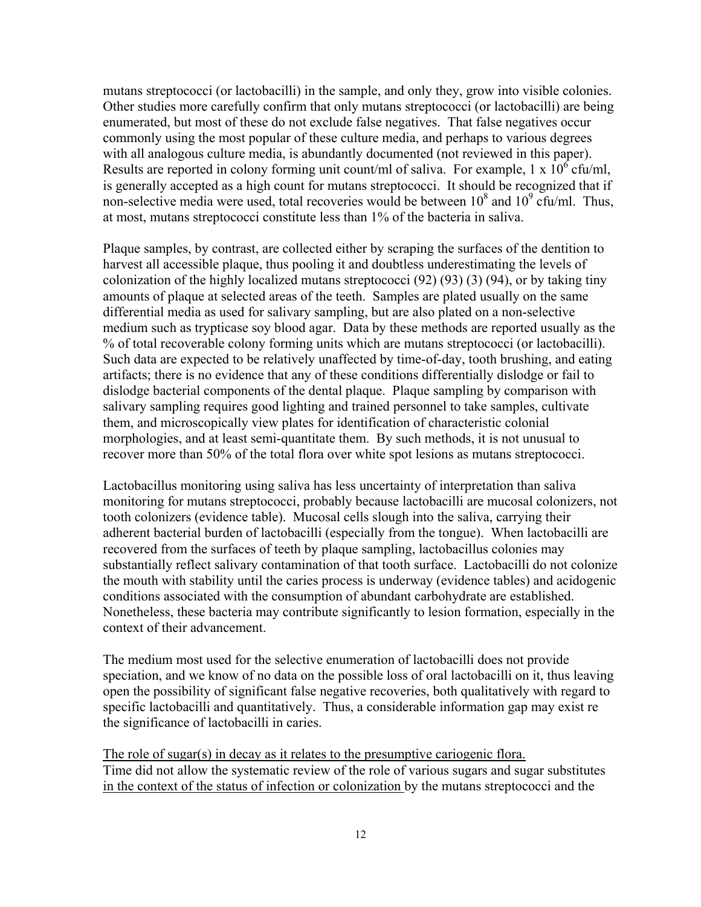mutans streptococci (or lactobacilli) in the sample, and only they, grow into visible colonies. Other studies more carefully confirm that only mutans streptococci (or lactobacilli) are being enumerated, but most of these do not exclude false negatives. That false negatives occur commonly using the most popular of these culture media, and perhaps to various degrees with all analogous culture media, is abundantly documented (not reviewed in this paper). Results are reported in colony forming unit count/ml of saliva. For example,  $1 \times 10^6$  cfu/ml, is generally accepted as a high count for mutans streptococci. It should be recognized that if non-selective media were used, total recoveries would be between  $10^8$  and  $10^9$  cfu/ml. Thus, at most, mutans streptococci constitute less than 1% of the bacteria in saliva.

Plaque samples, by contrast, are collected either by scraping the surfaces of the dentition to harvest all accessible plaque, thus pooling it and doubtless underestimating the levels of colonization of the highly localized mutans streptococci (92) (93) (3) (94), or by taking tiny amounts of plaque at selected areas of the teeth. Samples are plated usually on the same differential media as used for salivary sampling, but are also plated on a non-selective medium such as trypticase soy blood agar. Data by these methods are reported usually as the % of total recoverable colony forming units which are mutans streptococci (or lactobacilli). Such data are expected to be relatively unaffected by time-of-day, tooth brushing, and eating artifacts; there is no evidence that any of these conditions differentially dislodge or fail to dislodge bacterial components of the dental plaque. Plaque sampling by comparison with salivary sampling requires good lighting and trained personnel to take samples, cultivate them, and microscopically view plates for identification of characteristic colonial morphologies, and at least semi-quantitate them. By such methods, it is not unusual to recover more than 50% of the total flora over white spot lesions as mutans streptococci.

Lactobacillus monitoring using saliva has less uncertainty of interpretation than saliva monitoring for mutans streptococci, probably because lactobacilli are mucosal colonizers, not tooth colonizers (evidence table). Mucosal cells slough into the saliva, carrying their adherent bacterial burden of lactobacilli (especially from the tongue). When lactobacilli are recovered from the surfaces of teeth by plaque sampling, lactobacillus colonies may substantially reflect salivary contamination of that tooth surface. Lactobacilli do not colonize the mouth with stability until the caries process is underway (evidence tables) and acidogenic conditions associated with the consumption of abundant carbohydrate are established. Nonetheless, these bacteria may contribute significantly to lesion formation, especially in the context of their advancement.

The medium most used for the selective enumeration of lactobacilli does not provide speciation, and we know of no data on the possible loss of oral lactobacilli on it, thus leaving open the possibility of significant false negative recoveries, both qualitatively with regard to specific lactobacilli and quantitatively. Thus, a considerable information gap may exist re the significance of lactobacilli in caries.

The role of sugar(s) in decay as it relates to the presumptive cariogenic flora. Time did not allow the systematic review of the role of various sugars and sugar substitutes in the context of the status of infection or colonization by the mutans streptococci and the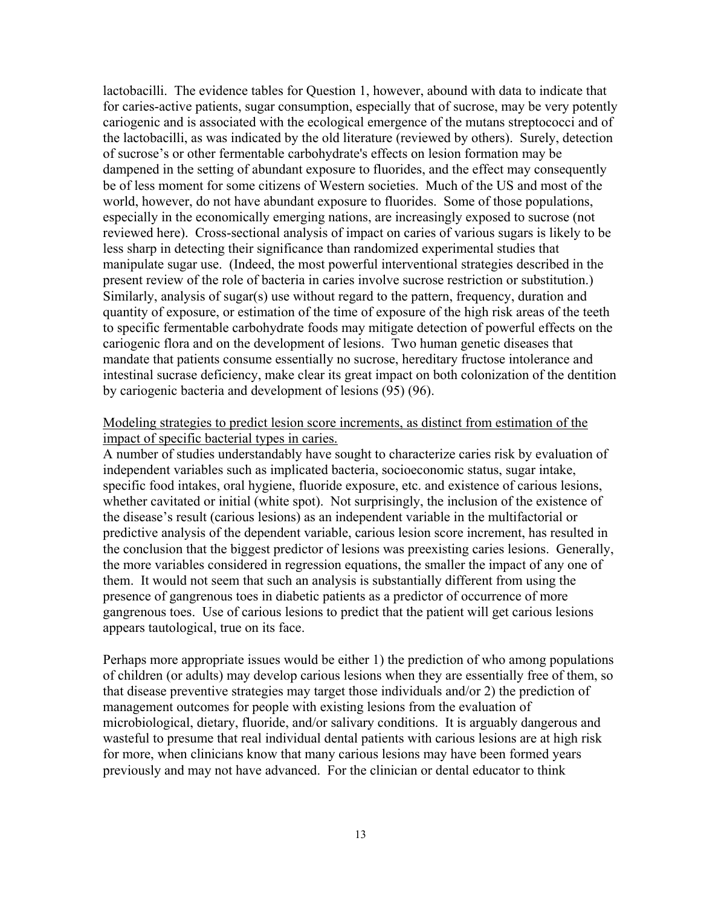lactobacilli. The evidence tables for Question 1, however, abound with data to indicate that for caries-active patients, sugar consumption, especially that of sucrose, may be very potently cariogenic and is associated with the ecological emergence of the mutans streptococci and of the lactobacilli, as was indicated by the old literature (reviewed by others). Surely, detection of sucrose's or other fermentable carbohydrate's effects on lesion formation may be dampened in the setting of abundant exposure to fluorides, and the effect may consequently be of less moment for some citizens of Western societies. Much of the US and most of the world, however, do not have abundant exposure to fluorides. Some of those populations, especially in the economically emerging nations, are increasingly exposed to sucrose (not reviewed here). Cross-sectional analysis of impact on caries of various sugars is likely to be less sharp in detecting their significance than randomized experimental studies that manipulate sugar use. (Indeed, the most powerful interventional strategies described in the present review of the role of bacteria in caries involve sucrose restriction or substitution.) Similarly, analysis of sugar(s) use without regard to the pattern, frequency, duration and quantity of exposure, or estimation of the time of exposure of the high risk areas of the teeth to specific fermentable carbohydrate foods may mitigate detection of powerful effects on the cariogenic flora and on the development of lesions. Two human genetic diseases that mandate that patients consume essentially no sucrose, hereditary fructose intolerance and intestinal sucrase deficiency, make clear its great impact on both colonization of the dentition by cariogenic bacteria and development of lesions (95) (96).

### Modeling strategies to predict lesion score increments, as distinct from estimation of the impact of specific bacterial types in caries.

A number of studies understandably have sought to characterize caries risk by evaluation of independent variables such as implicated bacteria, socioeconomic status, sugar intake, specific food intakes, oral hygiene, fluoride exposure, etc. and existence of carious lesions, whether cavitated or initial (white spot). Not surprisingly, the inclusion of the existence of the disease's result (carious lesions) as an independent variable in the multifactorial or predictive analysis of the dependent variable, carious lesion score increment, has resulted in the conclusion that the biggest predictor of lesions was preexisting caries lesions. Generally, the more variables considered in regression equations, the smaller the impact of any one of them. It would not seem that such an analysis is substantially different from using the presence of gangrenous toes in diabetic patients as a predictor of occurrence of more gangrenous toes. Use of carious lesions to predict that the patient will get carious lesions appears tautological, true on its face.

Perhaps more appropriate issues would be either 1) the prediction of who among populations of children (or adults) may develop carious lesions when they are essentially free of them, so that disease preventive strategies may target those individuals and/or 2) the prediction of management outcomes for people with existing lesions from the evaluation of microbiological, dietary, fluoride, and/or salivary conditions. It is arguably dangerous and wasteful to presume that real individual dental patients with carious lesions are at high risk for more, when clinicians know that many carious lesions may have been formed years previously and may not have advanced. For the clinician or dental educator to think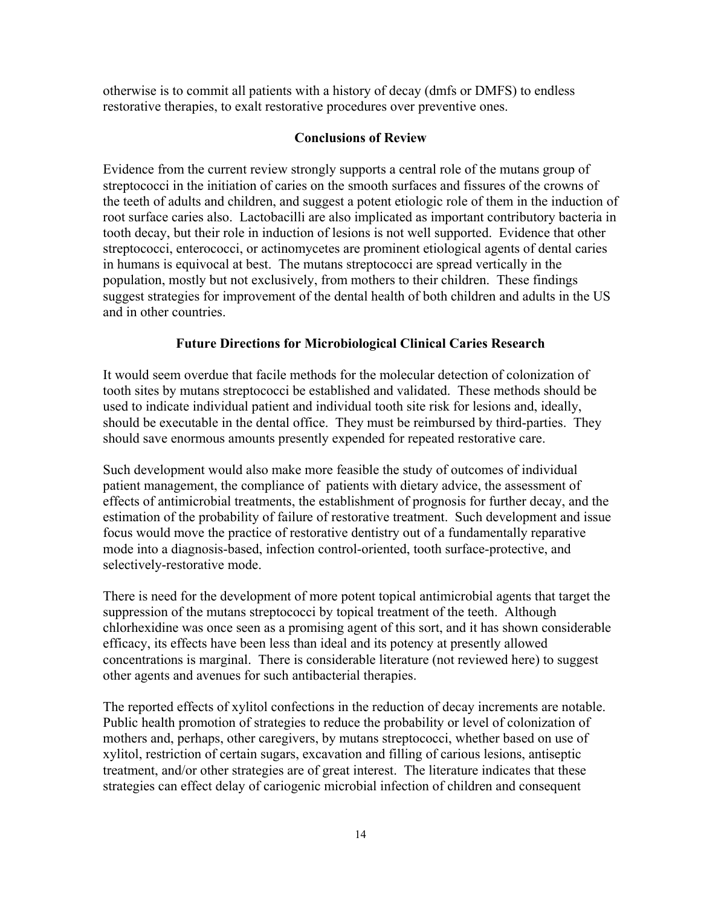otherwise is to commit all patients with a history of decay (dmfs or DMFS) to endless restorative therapies, to exalt restorative procedures over preventive ones.

#### **Conclusions of Review**

Evidence from the current review strongly supports a central role of the mutans group of streptococci in the initiation of caries on the smooth surfaces and fissures of the crowns of the teeth of adults and children, and suggest a potent etiologic role of them in the induction of root surface caries also. Lactobacilli are also implicated as important contributory bacteria in tooth decay, but their role in induction of lesions is not well supported. Evidence that other streptococci, enterococci, or actinomycetes are prominent etiological agents of dental caries in humans is equivocal at best. The mutans streptococci are spread vertically in the population, mostly but not exclusively, from mothers to their children. These findings suggest strategies for improvement of the dental health of both children and adults in the US and in other countries.

#### **Future Directions for Microbiological Clinical Caries Research**

It would seem overdue that facile methods for the molecular detection of colonization of tooth sites by mutans streptococci be established and validated. These methods should be used to indicate individual patient and individual tooth site risk for lesions and, ideally, should be executable in the dental office. They must be reimbursed by third-parties. They should save enormous amounts presently expended for repeated restorative care.

Such development would also make more feasible the study of outcomes of individual patient management, the compliance of patients with dietary advice, the assessment of effects of antimicrobial treatments, the establishment of prognosis for further decay, and the estimation of the probability of failure of restorative treatment. Such development and issue focus would move the practice of restorative dentistry out of a fundamentally reparative mode into a diagnosis-based, infection control-oriented, tooth surface-protective, and selectively-restorative mode.

There is need for the development of more potent topical antimicrobial agents that target the suppression of the mutans streptococci by topical treatment of the teeth. Although chlorhexidine was once seen as a promising agent of this sort, and it has shown considerable efficacy, its effects have been less than ideal and its potency at presently allowed concentrations is marginal. There is considerable literature (not reviewed here) to suggest other agents and avenues for such antibacterial therapies.

The reported effects of xylitol confections in the reduction of decay increments are notable. Public health promotion of strategies to reduce the probability or level of colonization of mothers and, perhaps, other caregivers, by mutans streptococci, whether based on use of xylitol, restriction of certain sugars, excavation and filling of carious lesions, antiseptic treatment, and/or other strategies are of great interest. The literature indicates that these strategies can effect delay of cariogenic microbial infection of children and consequent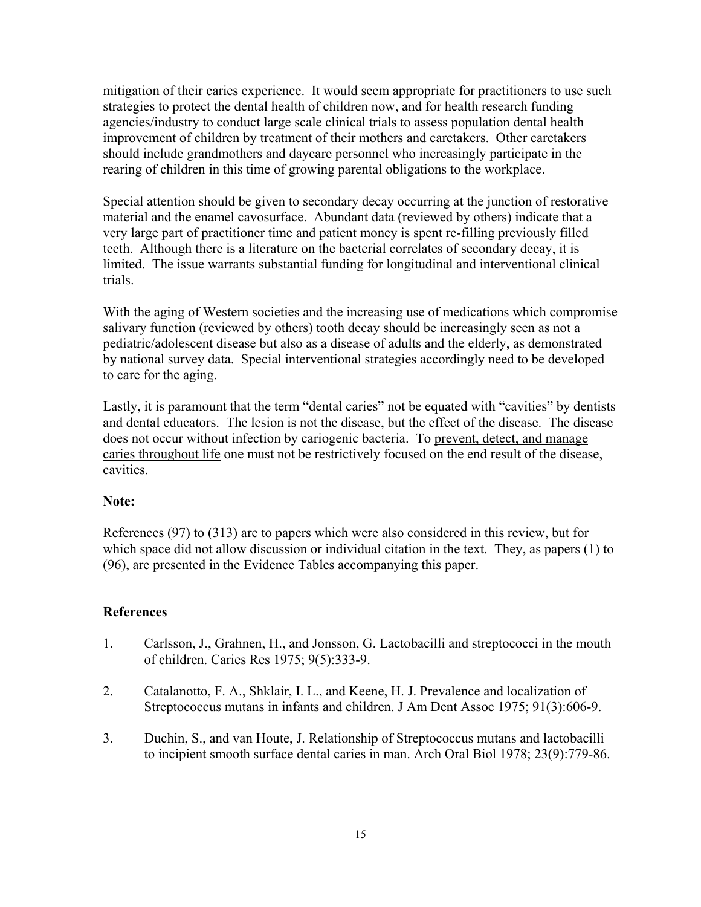mitigation of their caries experience. It would seem appropriate for practitioners to use such strategies to protect the dental health of children now, and for health research funding agencies/industry to conduct large scale clinical trials to assess population dental health improvement of children by treatment of their mothers and caretakers. Other caretakers should include grandmothers and daycare personnel who increasingly participate in the rearing of children in this time of growing parental obligations to the workplace.

Special attention should be given to secondary decay occurring at the junction of restorative material and the enamel cavosurface. Abundant data (reviewed by others) indicate that a very large part of practitioner time and patient money is spent re-filling previously filled teeth. Although there is a literature on the bacterial correlates of secondary decay, it is limited. The issue warrants substantial funding for longitudinal and interventional clinical trials.

With the aging of Western societies and the increasing use of medications which compromise salivary function (reviewed by others) tooth decay should be increasingly seen as not a pediatric/adolescent disease but also as a disease of adults and the elderly, as demonstrated by national survey data. Special interventional strategies accordingly need to be developed to care for the aging.

Lastly, it is paramount that the term "dental caries" not be equated with "cavities" by dentists and dental educators. The lesion is not the disease, but the effect of the disease. The disease does not occur without infection by cariogenic bacteria. To prevent, detect, and manage caries throughout life one must not be restrictively focused on the end result of the disease, cavities.

#### **Note:**

References (97) to (313) are to papers which were also considered in this review, but for which space did not allow discussion or individual citation in the text. They, as papers (1) to (96), are presented in the Evidence Tables accompanying this paper.

# **References**

- 1. Carlsson, J., Grahnen, H., and Jonsson, G. Lactobacilli and streptococci in the mouth of children. Caries Res 1975; 9(5):333-9.
- 2. Catalanotto, F. A., Shklair, I. L., and Keene, H. J. Prevalence and localization of Streptococcus mutans in infants and children. J Am Dent Assoc 1975; 91(3):606-9.
- 3. Duchin, S., and van Houte, J. Relationship of Streptococcus mutans and lactobacilli to incipient smooth surface dental caries in man. Arch Oral Biol 1978; 23(9):779-86.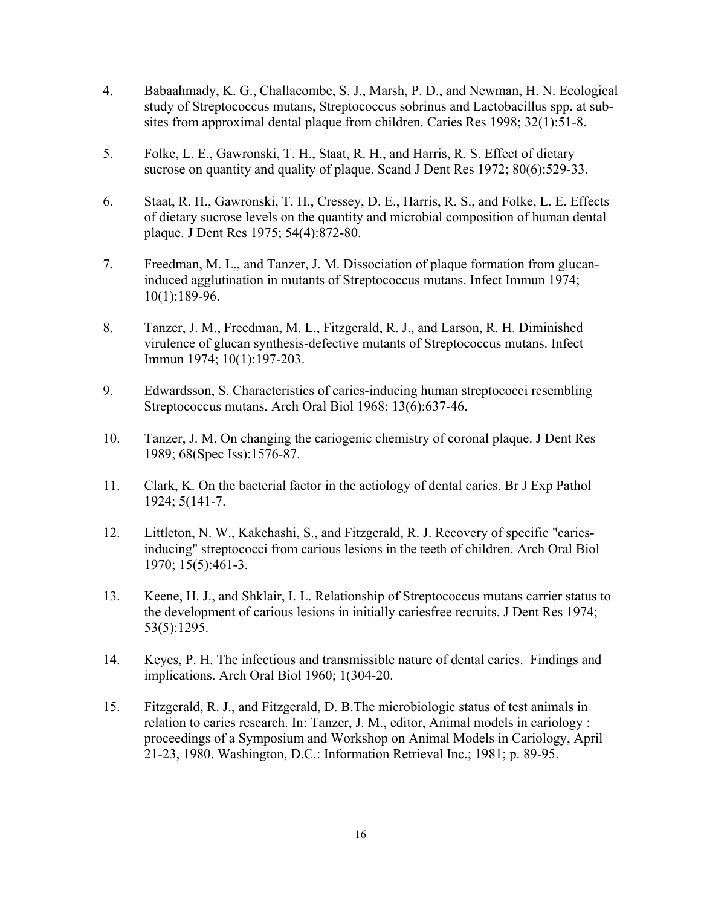- 4. Babaahmady, K. G., Challacombe, S. J., Marsh, P. D., and Newman, H. N. Ecological study of Streptococcus mutans, Streptococcus sobrinus and Lactobacillus spp. at subsites from approximal dental plaque from children. Caries Res 1998; 32(1):51-8.
- 5. Folke, L. E., Gawronski, T. H., Staat, R. H., and Harris, R. S. Effect of dietary sucrose on quantity and quality of plaque. Scand J Dent Res 1972; 80(6):529-33.
- 6. Staat, R. H., Gawronski, T. H., Cressey, D. E., Harris, R. S., and Folke, L. E. Effects of dietary sucrose levels on the quantity and microbial composition of human dental plaque. J Dent Res 1975; 54(4):872-80.
- 7. Freedman, M. L., and Tanzer, J. M. Dissociation of plaque formation from glucaninduced agglutination in mutants of Streptococcus mutans. Infect Immun 1974; 10(1):189-96.
- 8. Tanzer, J. M., Freedman, M. L., Fitzgerald, R. J., and Larson, R. H. Diminished virulence of glucan synthesis-defective mutants of Streptococcus mutans. Infect Immun 1974; 10(1):197-203.
- 9. Edwardsson, S. Characteristics of caries-inducing human streptococci resembling Streptococcus mutans. Arch Oral Biol 1968; 13(6):637-46.
- 10. Tanzer, J. M. On changing the cariogenic chemistry of coronal plaque. J Dent Res 1989; 68(Spec Iss):1576-87.
- 11. Clark, K. On the bacterial factor in the aetiology of dental caries. Br J Exp Pathol 1924; 5(141-7.
- 12. Littleton, N. W., Kakehashi, S., and Fitzgerald, R. J. Recovery of specific "cariesinducing" streptococci from carious lesions in the teeth of children. Arch Oral Biol 1970; 15(5):461-3.
- 13. Keene, H. J., and Shklair, I. L. Relationship of Streptococcus mutans carrier status to the development of carious lesions in initially cariesfree recruits. J Dent Res 1974; 53(5):1295.
- 14. Keyes, P. H. The infectious and transmissible nature of dental caries. Findings and implications. Arch Oral Biol 1960; 1(304-20.
- 15. Fitzgerald, R. J., and Fitzgerald, D. B.The microbiologic status of test animals in relation to caries research. In: Tanzer, J. M., editor, Animal models in cariology : proceedings of a Symposium and Workshop on Animal Models in Cariology, April 21-23, 1980. Washington, D.C.: Information Retrieval Inc.; 1981; p. 89-95.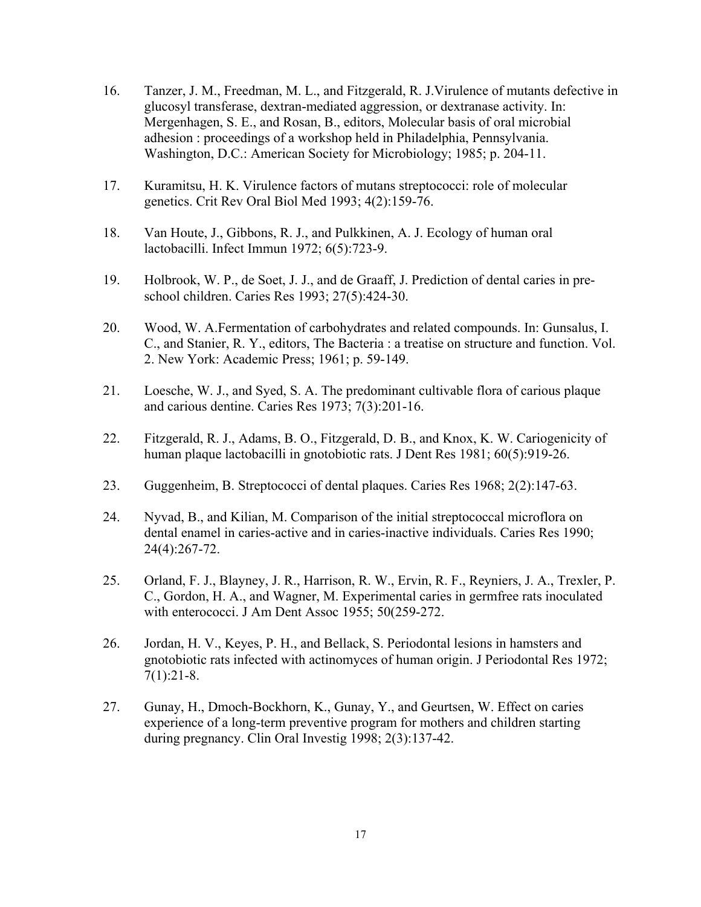- 16. Tanzer, J. M., Freedman, M. L., and Fitzgerald, R. J.Virulence of mutants defective in glucosyl transferase, dextran-mediated aggression, or dextranase activity. In: Mergenhagen, S. E., and Rosan, B., editors, Molecular basis of oral microbial adhesion : proceedings of a workshop held in Philadelphia, Pennsylvania. Washington, D.C.: American Society for Microbiology; 1985; p. 204-11.
- 17. Kuramitsu, H. K. Virulence factors of mutans streptococci: role of molecular genetics. Crit Rev Oral Biol Med 1993; 4(2):159-76.
- 18. Van Houte, J., Gibbons, R. J., and Pulkkinen, A. J. Ecology of human oral lactobacilli. Infect Immun 1972; 6(5):723-9.
- 19. Holbrook, W. P., de Soet, J. J., and de Graaff, J. Prediction of dental caries in preschool children. Caries Res 1993; 27(5):424-30.
- 20. Wood, W. A.Fermentation of carbohydrates and related compounds. In: Gunsalus, I. C., and Stanier, R. Y., editors, The Bacteria : a treatise on structure and function. Vol. 2. New York: Academic Press; 1961; p. 59-149.
- 21. Loesche, W. J., and Syed, S. A. The predominant cultivable flora of carious plaque and carious dentine. Caries Res 1973; 7(3):201-16.
- 22. Fitzgerald, R. J., Adams, B. O., Fitzgerald, D. B., and Knox, K. W. Cariogenicity of human plaque lactobacilli in gnotobiotic rats. J Dent Res 1981; 60(5):919-26.
- 23. Guggenheim, B. Streptococci of dental plaques. Caries Res 1968; 2(2):147-63.
- 24. Nyvad, B., and Kilian, M. Comparison of the initial streptococcal microflora on dental enamel in caries-active and in caries-inactive individuals. Caries Res 1990; 24(4):267-72.
- 25. Orland, F. J., Blayney, J. R., Harrison, R. W., Ervin, R. F., Reyniers, J. A., Trexler, P. C., Gordon, H. A., and Wagner, M. Experimental caries in germfree rats inoculated with enterococci. J Am Dent Assoc 1955; 50(259-272.
- 26. Jordan, H. V., Keyes, P. H., and Bellack, S. Periodontal lesions in hamsters and gnotobiotic rats infected with actinomyces of human origin. J Periodontal Res 1972; 7(1):21-8.
- 27. Gunay, H., Dmoch-Bockhorn, K., Gunay, Y., and Geurtsen, W. Effect on caries experience of a long-term preventive program for mothers and children starting during pregnancy. Clin Oral Investig 1998; 2(3):137-42.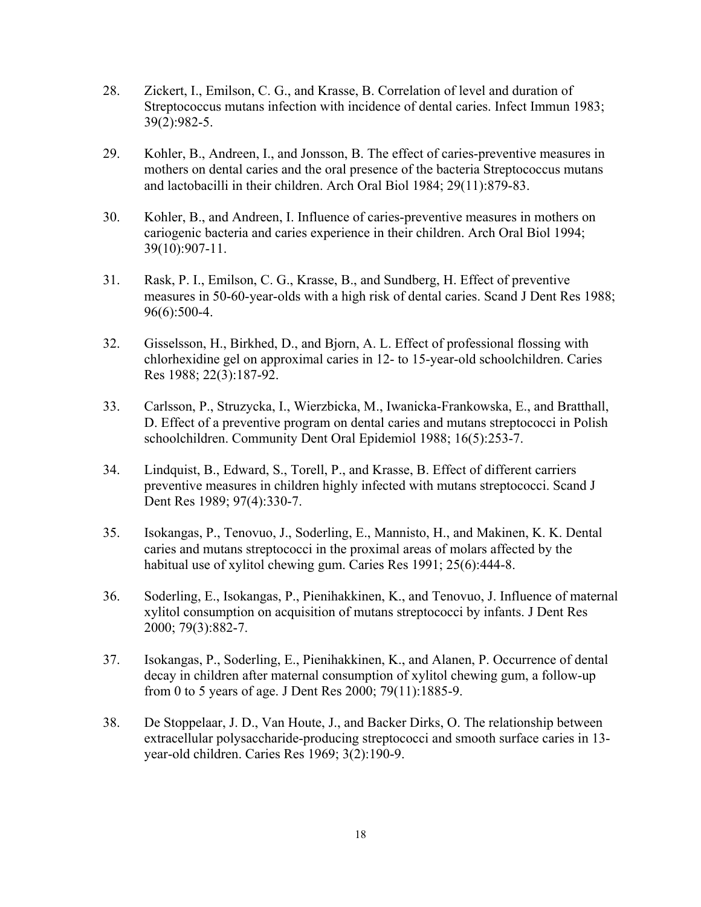- 28. Zickert, I., Emilson, C. G., and Krasse, B. Correlation of level and duration of Streptococcus mutans infection with incidence of dental caries. Infect Immun 1983; 39(2):982-5.
- 29. Kohler, B., Andreen, I., and Jonsson, B. The effect of caries-preventive measures in mothers on dental caries and the oral presence of the bacteria Streptococcus mutans and lactobacilli in their children. Arch Oral Biol 1984; 29(11):879-83.
- 30. Kohler, B., and Andreen, I. Influence of caries-preventive measures in mothers on cariogenic bacteria and caries experience in their children. Arch Oral Biol 1994; 39(10):907-11.
- 31. Rask, P. I., Emilson, C. G., Krasse, B., and Sundberg, H. Effect of preventive measures in 50-60-year-olds with a high risk of dental caries. Scand J Dent Res 1988; 96(6):500-4.
- 32. Gisselsson, H., Birkhed, D., and Bjorn, A. L. Effect of professional flossing with chlorhexidine gel on approximal caries in 12- to 15-year-old schoolchildren. Caries Res 1988; 22(3):187-92.
- 33. Carlsson, P., Struzycka, I., Wierzbicka, M., Iwanicka-Frankowska, E., and Bratthall, D. Effect of a preventive program on dental caries and mutans streptococci in Polish schoolchildren. Community Dent Oral Epidemiol 1988; 16(5):253-7.
- 34. Lindquist, B., Edward, S., Torell, P., and Krasse, B. Effect of different carriers preventive measures in children highly infected with mutans streptococci. Scand J Dent Res 1989; 97(4):330-7.
- 35. Isokangas, P., Tenovuo, J., Soderling, E., Mannisto, H., and Makinen, K. K. Dental caries and mutans streptococci in the proximal areas of molars affected by the habitual use of xylitol chewing gum. Caries Res 1991; 25(6):444-8.
- 36. Soderling, E., Isokangas, P., Pienihakkinen, K., and Tenovuo, J. Influence of maternal xylitol consumption on acquisition of mutans streptococci by infants. J Dent Res 2000; 79(3):882-7.
- 37. Isokangas, P., Soderling, E., Pienihakkinen, K., and Alanen, P. Occurrence of dental decay in children after maternal consumption of xylitol chewing gum, a follow-up from 0 to 5 years of age. J Dent Res 2000; 79(11):1885-9.
- 38. De Stoppelaar, J. D., Van Houte, J., and Backer Dirks, O. The relationship between extracellular polysaccharide-producing streptococci and smooth surface caries in 13 year-old children. Caries Res 1969; 3(2):190-9.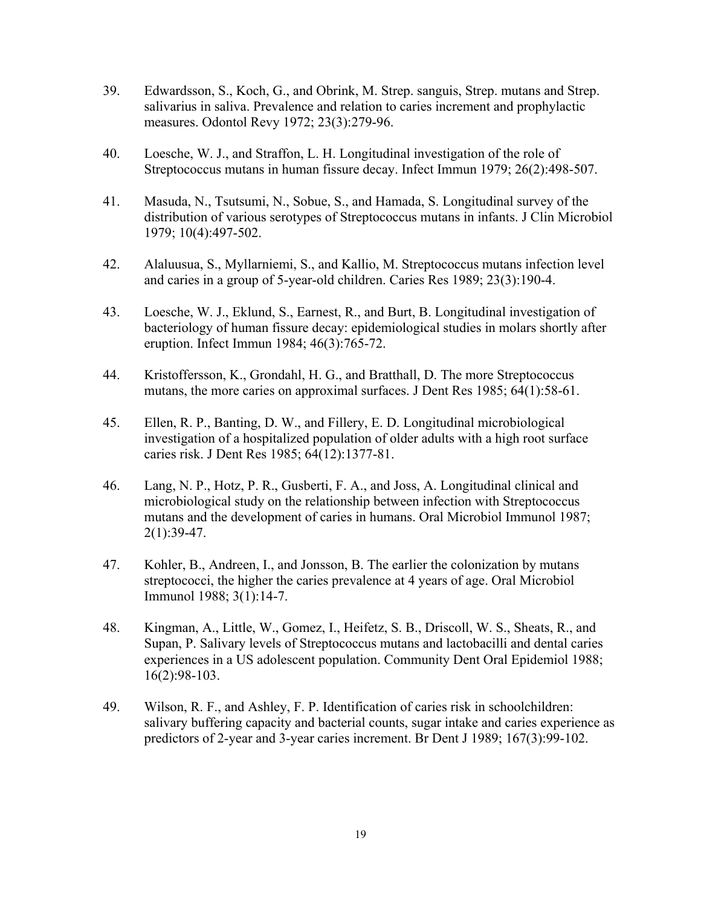- 39. Edwardsson, S., Koch, G., and Obrink, M. Strep. sanguis, Strep. mutans and Strep. salivarius in saliva. Prevalence and relation to caries increment and prophylactic measures. Odontol Revy 1972; 23(3):279-96.
- 40. Loesche, W. J., and Straffon, L. H. Longitudinal investigation of the role of Streptococcus mutans in human fissure decay. Infect Immun 1979; 26(2):498-507.
- 41. Masuda, N., Tsutsumi, N., Sobue, S., and Hamada, S. Longitudinal survey of the distribution of various serotypes of Streptococcus mutans in infants. J Clin Microbiol 1979; 10(4):497-502.
- 42. Alaluusua, S., Myllarniemi, S., and Kallio, M. Streptococcus mutans infection level and caries in a group of 5-year-old children. Caries Res 1989; 23(3):190-4.
- 43. Loesche, W. J., Eklund, S., Earnest, R., and Burt, B. Longitudinal investigation of bacteriology of human fissure decay: epidemiological studies in molars shortly after eruption. Infect Immun 1984; 46(3):765-72.
- 44. Kristoffersson, K., Grondahl, H. G., and Bratthall, D. The more Streptococcus mutans, the more caries on approximal surfaces. J Dent Res 1985; 64(1):58-61.
- 45. Ellen, R. P., Banting, D. W., and Fillery, E. D. Longitudinal microbiological investigation of a hospitalized population of older adults with a high root surface caries risk. J Dent Res 1985; 64(12):1377-81.
- 46. Lang, N. P., Hotz, P. R., Gusberti, F. A., and Joss, A. Longitudinal clinical and microbiological study on the relationship between infection with Streptococcus mutans and the development of caries in humans. Oral Microbiol Immunol 1987; 2(1):39-47.
- 47. Kohler, B., Andreen, I., and Jonsson, B. The earlier the colonization by mutans streptococci, the higher the caries prevalence at 4 years of age. Oral Microbiol Immunol 1988; 3(1):14-7.
- 48. Kingman, A., Little, W., Gomez, I., Heifetz, S. B., Driscoll, W. S., Sheats, R., and Supan, P. Salivary levels of Streptococcus mutans and lactobacilli and dental caries experiences in a US adolescent population. Community Dent Oral Epidemiol 1988; 16(2):98-103.
- 49. Wilson, R. F., and Ashley, F. P. Identification of caries risk in schoolchildren: salivary buffering capacity and bacterial counts, sugar intake and caries experience as predictors of 2-year and 3-year caries increment. Br Dent J 1989; 167(3):99-102.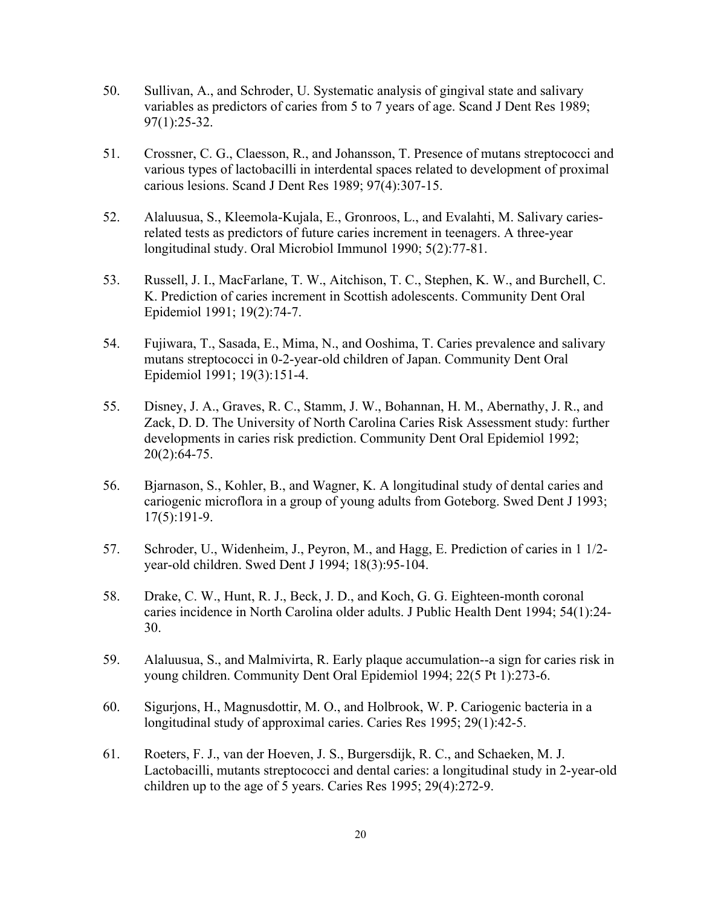- 50. Sullivan, A., and Schroder, U. Systematic analysis of gingival state and salivary variables as predictors of caries from 5 to 7 years of age. Scand J Dent Res 1989; 97(1):25-32.
- 51. Crossner, C. G., Claesson, R., and Johansson, T. Presence of mutans streptococci and various types of lactobacilli in interdental spaces related to development of proximal carious lesions. Scand J Dent Res 1989; 97(4):307-15.
- 52. Alaluusua, S., Kleemola-Kujala, E., Gronroos, L., and Evalahti, M. Salivary cariesrelated tests as predictors of future caries increment in teenagers. A three-year longitudinal study. Oral Microbiol Immunol 1990; 5(2):77-81.
- 53. Russell, J. I., MacFarlane, T. W., Aitchison, T. C., Stephen, K. W., and Burchell, C. K. Prediction of caries increment in Scottish adolescents. Community Dent Oral Epidemiol 1991; 19(2):74-7.
- 54. Fujiwara, T., Sasada, E., Mima, N., and Ooshima, T. Caries prevalence and salivary mutans streptococci in 0-2-year-old children of Japan. Community Dent Oral Epidemiol 1991; 19(3):151-4.
- 55. Disney, J. A., Graves, R. C., Stamm, J. W., Bohannan, H. M., Abernathy, J. R., and Zack, D. D. The University of North Carolina Caries Risk Assessment study: further developments in caries risk prediction. Community Dent Oral Epidemiol 1992;  $20(2):64-75.$
- 56. Bjarnason, S., Kohler, B., and Wagner, K. A longitudinal study of dental caries and cariogenic microflora in a group of young adults from Goteborg. Swed Dent J 1993; 17(5):191-9.
- 57. Schroder, U., Widenheim, J., Peyron, M., and Hagg, E. Prediction of caries in 1 1/2 year-old children. Swed Dent J 1994; 18(3):95-104.
- 58. Drake, C. W., Hunt, R. J., Beck, J. D., and Koch, G. G. Eighteen-month coronal caries incidence in North Carolina older adults. J Public Health Dent 1994; 54(1):24- 30.
- 59. Alaluusua, S., and Malmivirta, R. Early plaque accumulation--a sign for caries risk in young children. Community Dent Oral Epidemiol 1994; 22(5 Pt 1):273-6.
- 60. Sigurjons, H., Magnusdottir, M. O., and Holbrook, W. P. Cariogenic bacteria in a longitudinal study of approximal caries. Caries Res 1995; 29(1):42-5.
- 61. Roeters, F. J., van der Hoeven, J. S., Burgersdijk, R. C., and Schaeken, M. J. Lactobacilli, mutants streptococci and dental caries: a longitudinal study in 2-year-old children up to the age of 5 years. Caries Res 1995; 29(4):272-9.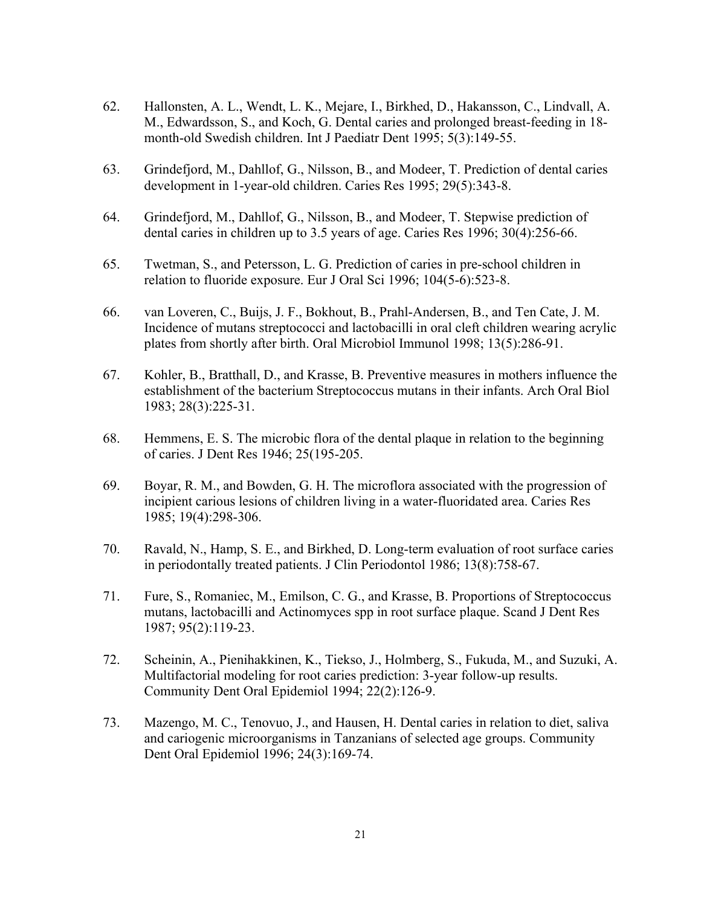- 62. Hallonsten, A. L., Wendt, L. K., Mejare, I., Birkhed, D., Hakansson, C., Lindvall, A. M., Edwardsson, S., and Koch, G. Dental caries and prolonged breast-feeding in 18 month-old Swedish children. Int J Paediatr Dent 1995; 5(3):149-55.
- 63. Grindefjord, M., Dahllof, G., Nilsson, B., and Modeer, T. Prediction of dental caries development in 1-year-old children. Caries Res 1995; 29(5):343-8.
- 64. Grindefjord, M., Dahllof, G., Nilsson, B., and Modeer, T. Stepwise prediction of dental caries in children up to 3.5 years of age. Caries Res 1996; 30(4):256-66.
- 65. Twetman, S., and Petersson, L. G. Prediction of caries in pre-school children in relation to fluoride exposure. Eur J Oral Sci 1996; 104(5-6):523-8.
- 66. van Loveren, C., Buijs, J. F., Bokhout, B., Prahl-Andersen, B., and Ten Cate, J. M. Incidence of mutans streptococci and lactobacilli in oral cleft children wearing acrylic plates from shortly after birth. Oral Microbiol Immunol 1998; 13(5):286-91.
- 67. Kohler, B., Bratthall, D., and Krasse, B. Preventive measures in mothers influence the establishment of the bacterium Streptococcus mutans in their infants. Arch Oral Biol 1983; 28(3):225-31.
- 68. Hemmens, E. S. The microbic flora of the dental plaque in relation to the beginning of caries. J Dent Res 1946; 25(195-205.
- 69. Boyar, R. M., and Bowden, G. H. The microflora associated with the progression of incipient carious lesions of children living in a water-fluoridated area. Caries Res 1985; 19(4):298-306.
- 70. Ravald, N., Hamp, S. E., and Birkhed, D. Long-term evaluation of root surface caries in periodontally treated patients. J Clin Periodontol 1986; 13(8):758-67.
- 71. Fure, S., Romaniec, M., Emilson, C. G., and Krasse, B. Proportions of Streptococcus mutans, lactobacilli and Actinomyces spp in root surface plaque. Scand J Dent Res 1987; 95(2):119-23.
- 72. Scheinin, A., Pienihakkinen, K., Tiekso, J., Holmberg, S., Fukuda, M., and Suzuki, A. Multifactorial modeling for root caries prediction: 3-year follow-up results. Community Dent Oral Epidemiol 1994; 22(2):126-9.
- 73. Mazengo, M. C., Tenovuo, J., and Hausen, H. Dental caries in relation to diet, saliva and cariogenic microorganisms in Tanzanians of selected age groups. Community Dent Oral Epidemiol 1996; 24(3):169-74.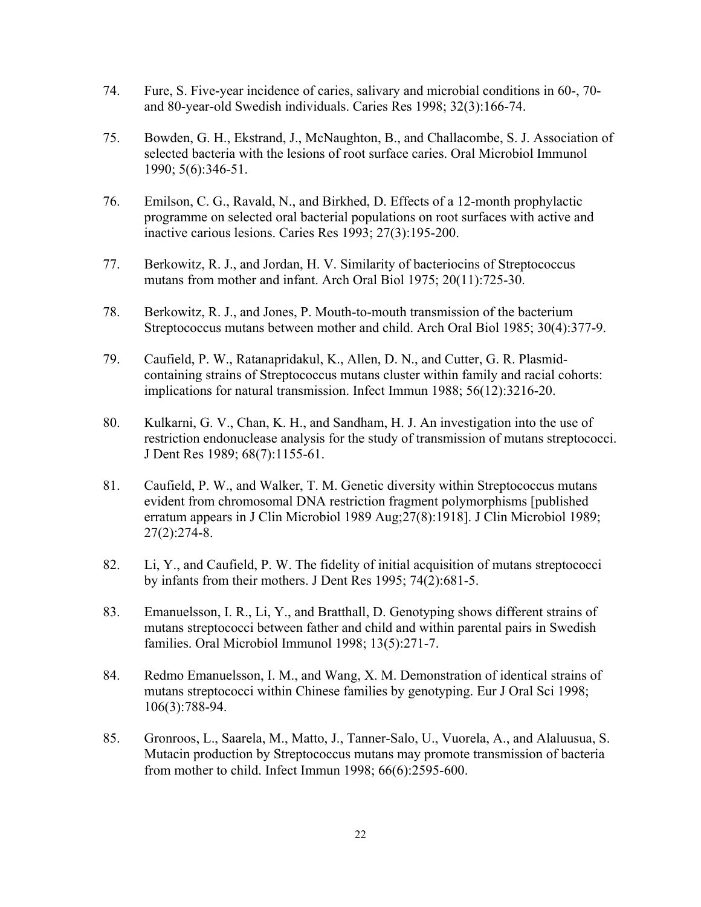- 74. Fure, S. Five-year incidence of caries, salivary and microbial conditions in 60-, 70 and 80-year-old Swedish individuals. Caries Res 1998; 32(3):166-74.
- 75. Bowden, G. H., Ekstrand, J., McNaughton, B., and Challacombe, S. J. Association of selected bacteria with the lesions of root surface caries. Oral Microbiol Immunol 1990; 5(6):346-51.
- 76. Emilson, C. G., Ravald, N., and Birkhed, D. Effects of a 12-month prophylactic programme on selected oral bacterial populations on root surfaces with active and inactive carious lesions. Caries Res 1993; 27(3):195-200.
- 77. Berkowitz, R. J., and Jordan, H. V. Similarity of bacteriocins of Streptococcus mutans from mother and infant. Arch Oral Biol 1975; 20(11):725-30.
- 78. Berkowitz, R. J., and Jones, P. Mouth-to-mouth transmission of the bacterium Streptococcus mutans between mother and child. Arch Oral Biol 1985; 30(4):377-9.
- 79. Caufield, P. W., Ratanapridakul, K., Allen, D. N., and Cutter, G. R. Plasmidcontaining strains of Streptococcus mutans cluster within family and racial cohorts: implications for natural transmission. Infect Immun 1988; 56(12):3216-20.
- 80. Kulkarni, G. V., Chan, K. H., and Sandham, H. J. An investigation into the use of restriction endonuclease analysis for the study of transmission of mutans streptococci. J Dent Res 1989; 68(7):1155-61.
- 81. Caufield, P. W., and Walker, T. M. Genetic diversity within Streptococcus mutans evident from chromosomal DNA restriction fragment polymorphisms [published erratum appears in J Clin Microbiol 1989 Aug;27(8):1918]. J Clin Microbiol 1989; 27(2):274-8.
- 82. Li, Y., and Caufield, P. W. The fidelity of initial acquisition of mutans streptococci by infants from their mothers. J Dent Res 1995; 74(2):681-5.
- 83. Emanuelsson, I. R., Li, Y., and Bratthall, D. Genotyping shows different strains of mutans streptococci between father and child and within parental pairs in Swedish families. Oral Microbiol Immunol 1998; 13(5):271-7.
- 84. Redmo Emanuelsson, I. M., and Wang, X. M. Demonstration of identical strains of mutans streptococci within Chinese families by genotyping. Eur J Oral Sci 1998; 106(3):788-94.
- 85. Gronroos, L., Saarela, M., Matto, J., Tanner-Salo, U., Vuorela, A., and Alaluusua, S. Mutacin production by Streptococcus mutans may promote transmission of bacteria from mother to child. Infect Immun 1998; 66(6):2595-600.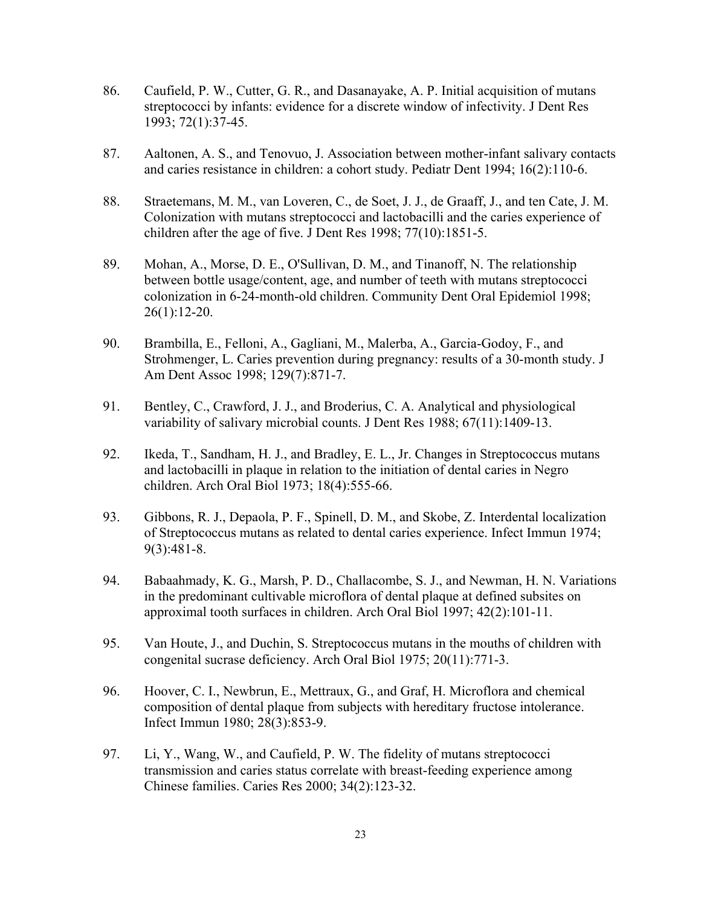- 86. Caufield, P. W., Cutter, G. R., and Dasanayake, A. P. Initial acquisition of mutans streptococci by infants: evidence for a discrete window of infectivity. J Dent Res 1993; 72(1):37-45.
- 87. Aaltonen, A. S., and Tenovuo, J. Association between mother-infant salivary contacts and caries resistance in children: a cohort study. Pediatr Dent 1994; 16(2):110-6.
- 88. Straetemans, M. M., van Loveren, C., de Soet, J. J., de Graaff, J., and ten Cate, J. M. Colonization with mutans streptococci and lactobacilli and the caries experience of children after the age of five. J Dent Res 1998; 77(10):1851-5.
- 89. Mohan, A., Morse, D. E., O'Sullivan, D. M., and Tinanoff, N. The relationship between bottle usage/content, age, and number of teeth with mutans streptococci colonization in 6-24-month-old children. Community Dent Oral Epidemiol 1998; 26(1):12-20.
- 90. Brambilla, E., Felloni, A., Gagliani, M., Malerba, A., Garcia-Godoy, F., and Strohmenger, L. Caries prevention during pregnancy: results of a 30-month study. J Am Dent Assoc 1998; 129(7):871-7.
- 91. Bentley, C., Crawford, J. J., and Broderius, C. A. Analytical and physiological variability of salivary microbial counts. J Dent Res 1988; 67(11):1409-13.
- 92. Ikeda, T., Sandham, H. J., and Bradley, E. L., Jr. Changes in Streptococcus mutans and lactobacilli in plaque in relation to the initiation of dental caries in Negro children. Arch Oral Biol 1973; 18(4):555-66.
- 93. Gibbons, R. J., Depaola, P. F., Spinell, D. M., and Skobe, Z. Interdental localization of Streptococcus mutans as related to dental caries experience. Infect Immun 1974; 9(3):481-8.
- 94. Babaahmady, K. G., Marsh, P. D., Challacombe, S. J., and Newman, H. N. Variations in the predominant cultivable microflora of dental plaque at defined subsites on approximal tooth surfaces in children. Arch Oral Biol 1997; 42(2):101-11.
- 95. Van Houte, J., and Duchin, S. Streptococcus mutans in the mouths of children with congenital sucrase deficiency. Arch Oral Biol 1975; 20(11):771-3.
- 96. Hoover, C. I., Newbrun, E., Mettraux, G., and Graf, H. Microflora and chemical composition of dental plaque from subjects with hereditary fructose intolerance. Infect Immun 1980; 28(3):853-9.
- 97. Li, Y., Wang, W., and Caufield, P. W. The fidelity of mutans streptococci transmission and caries status correlate with breast-feeding experience among Chinese families. Caries Res 2000; 34(2):123-32.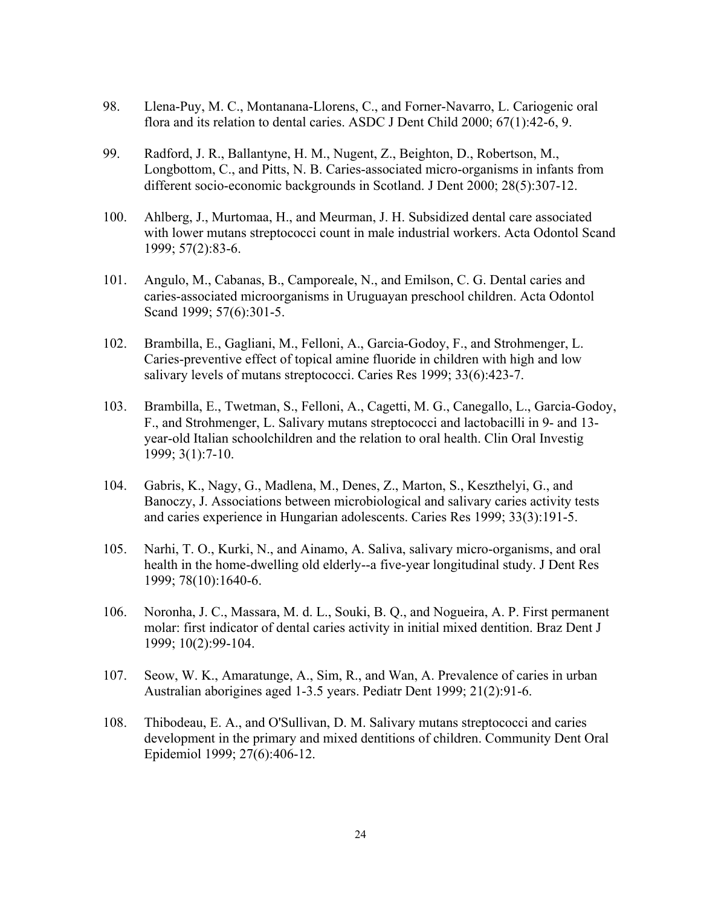- 98. Llena-Puy, M. C., Montanana-Llorens, C., and Forner-Navarro, L. Cariogenic oral flora and its relation to dental caries. ASDC J Dent Child 2000; 67(1):42-6, 9.
- 99. Radford, J. R., Ballantyne, H. M., Nugent, Z., Beighton, D., Robertson, M., Longbottom, C., and Pitts, N. B. Caries-associated micro-organisms in infants from different socio-economic backgrounds in Scotland. J Dent 2000; 28(5):307-12.
- 100. Ahlberg, J., Murtomaa, H., and Meurman, J. H. Subsidized dental care associated with lower mutans streptococci count in male industrial workers. Acta Odontol Scand 1999; 57(2):83-6.
- 101. Angulo, M., Cabanas, B., Camporeale, N., and Emilson, C. G. Dental caries and caries-associated microorganisms in Uruguayan preschool children. Acta Odontol Scand 1999; 57(6):301-5.
- 102. Brambilla, E., Gagliani, M., Felloni, A., Garcia-Godoy, F., and Strohmenger, L. Caries-preventive effect of topical amine fluoride in children with high and low salivary levels of mutans streptococci. Caries Res 1999; 33(6):423-7.
- 103. Brambilla, E., Twetman, S., Felloni, A., Cagetti, M. G., Canegallo, L., Garcia-Godoy, F., and Strohmenger, L. Salivary mutans streptococci and lactobacilli in 9- and 13 year-old Italian schoolchildren and the relation to oral health. Clin Oral Investig 1999; 3(1):7-10.
- 104. Gabris, K., Nagy, G., Madlena, M., Denes, Z., Marton, S., Keszthelyi, G., and Banoczy, J. Associations between microbiological and salivary caries activity tests and caries experience in Hungarian adolescents. Caries Res 1999; 33(3):191-5.
- 105. Narhi, T. O., Kurki, N., and Ainamo, A. Saliva, salivary micro-organisms, and oral health in the home-dwelling old elderly--a five-year longitudinal study. J Dent Res 1999; 78(10):1640-6.
- 106. Noronha, J. C., Massara, M. d. L., Souki, B. Q., and Nogueira, A. P. First permanent molar: first indicator of dental caries activity in initial mixed dentition. Braz Dent J 1999; 10(2):99-104.
- 107. Seow, W. K., Amaratunge, A., Sim, R., and Wan, A. Prevalence of caries in urban Australian aborigines aged 1-3.5 years. Pediatr Dent 1999; 21(2):91-6.
- 108. Thibodeau, E. A., and O'Sullivan, D. M. Salivary mutans streptococci and caries development in the primary and mixed dentitions of children. Community Dent Oral Epidemiol 1999; 27(6):406-12.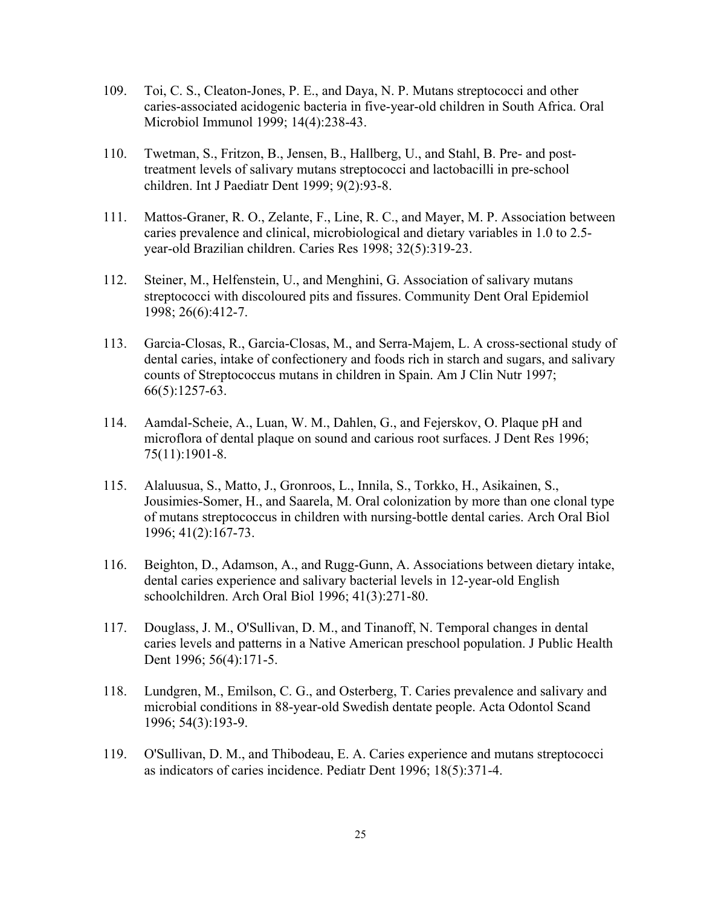- 109. Toi, C. S., Cleaton-Jones, P. E., and Daya, N. P. Mutans streptococci and other caries-associated acidogenic bacteria in five-year-old children in South Africa. Oral Microbiol Immunol 1999; 14(4):238-43.
- 110. Twetman, S., Fritzon, B., Jensen, B., Hallberg, U., and Stahl, B. Pre- and posttreatment levels of salivary mutans streptococci and lactobacilli in pre-school children. Int J Paediatr Dent 1999; 9(2):93-8.
- 111. Mattos-Graner, R. O., Zelante, F., Line, R. C., and Mayer, M. P. Association between caries prevalence and clinical, microbiological and dietary variables in 1.0 to 2.5 year-old Brazilian children. Caries Res 1998; 32(5):319-23.
- 112. Steiner, M., Helfenstein, U., and Menghini, G. Association of salivary mutans streptococci with discoloured pits and fissures. Community Dent Oral Epidemiol 1998; 26(6):412-7.
- 113. Garcia-Closas, R., Garcia-Closas, M., and Serra-Majem, L. A cross-sectional study of dental caries, intake of confectionery and foods rich in starch and sugars, and salivary counts of Streptococcus mutans in children in Spain. Am J Clin Nutr 1997; 66(5):1257-63.
- 114. Aamdal-Scheie, A., Luan, W. M., Dahlen, G., and Fejerskov, O. Plaque pH and microflora of dental plaque on sound and carious root surfaces. J Dent Res 1996; 75(11):1901-8.
- 115. Alaluusua, S., Matto, J., Gronroos, L., Innila, S., Torkko, H., Asikainen, S., Jousimies-Somer, H., and Saarela, M. Oral colonization by more than one clonal type of mutans streptococcus in children with nursing-bottle dental caries. Arch Oral Biol 1996; 41(2):167-73.
- 116. Beighton, D., Adamson, A., and Rugg-Gunn, A. Associations between dietary intake, dental caries experience and salivary bacterial levels in 12-year-old English schoolchildren. Arch Oral Biol 1996; 41(3):271-80.
- 117. Douglass, J. M., O'Sullivan, D. M., and Tinanoff, N. Temporal changes in dental caries levels and patterns in a Native American preschool population. J Public Health Dent 1996; 56(4):171-5.
- 118. Lundgren, M., Emilson, C. G., and Osterberg, T. Caries prevalence and salivary and microbial conditions in 88-year-old Swedish dentate people. Acta Odontol Scand 1996; 54(3):193-9.
- 119. O'Sullivan, D. M., and Thibodeau, E. A. Caries experience and mutans streptococci as indicators of caries incidence. Pediatr Dent 1996; 18(5):371-4.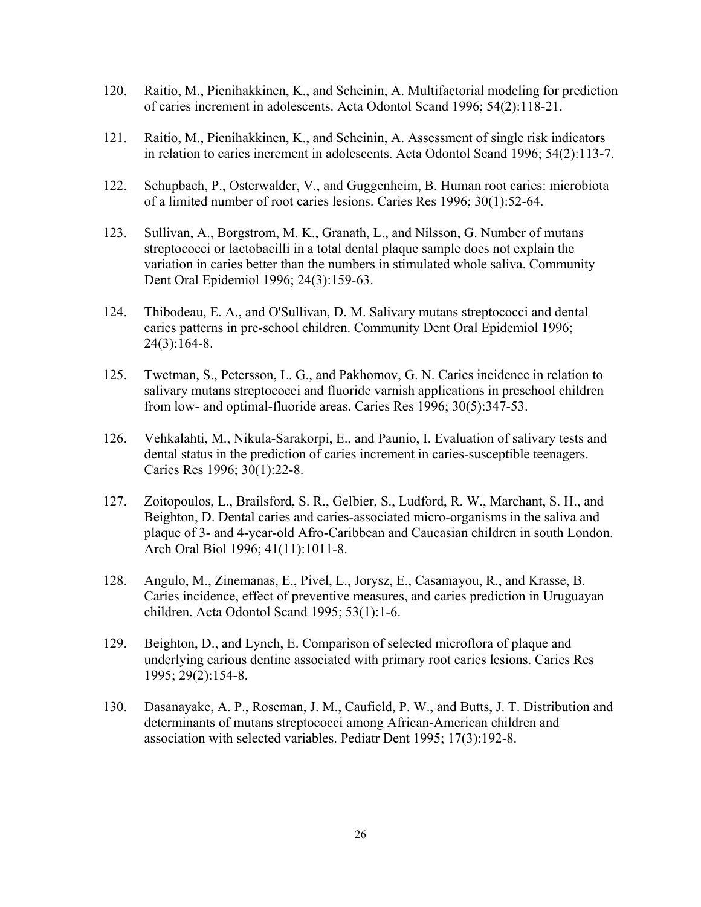- 120. Raitio, M., Pienihakkinen, K., and Scheinin, A. Multifactorial modeling for prediction of caries increment in adolescents. Acta Odontol Scand 1996; 54(2):118-21.
- 121. Raitio, M., Pienihakkinen, K., and Scheinin, A. Assessment of single risk indicators in relation to caries increment in adolescents. Acta Odontol Scand 1996; 54(2):113-7.
- 122. Schupbach, P., Osterwalder, V., and Guggenheim, B. Human root caries: microbiota of a limited number of root caries lesions. Caries Res 1996; 30(1):52-64.
- 123. Sullivan, A., Borgstrom, M. K., Granath, L., and Nilsson, G. Number of mutans streptococci or lactobacilli in a total dental plaque sample does not explain the variation in caries better than the numbers in stimulated whole saliva. Community Dent Oral Epidemiol 1996; 24(3):159-63.
- 124. Thibodeau, E. A., and O'Sullivan, D. M. Salivary mutans streptococci and dental caries patterns in pre-school children. Community Dent Oral Epidemiol 1996; 24(3):164-8.
- 125. Twetman, S., Petersson, L. G., and Pakhomov, G. N. Caries incidence in relation to salivary mutans streptococci and fluoride varnish applications in preschool children from low- and optimal-fluoride areas. Caries Res 1996; 30(5):347-53.
- 126. Vehkalahti, M., Nikula-Sarakorpi, E., and Paunio, I. Evaluation of salivary tests and dental status in the prediction of caries increment in caries-susceptible teenagers. Caries Res 1996; 30(1):22-8.
- 127. Zoitopoulos, L., Brailsford, S. R., Gelbier, S., Ludford, R. W., Marchant, S. H., and Beighton, D. Dental caries and caries-associated micro-organisms in the saliva and plaque of 3- and 4-year-old Afro-Caribbean and Caucasian children in south London. Arch Oral Biol 1996; 41(11):1011-8.
- 128. Angulo, M., Zinemanas, E., Pivel, L., Jorysz, E., Casamayou, R., and Krasse, B. Caries incidence, effect of preventive measures, and caries prediction in Uruguayan children. Acta Odontol Scand 1995; 53(1):1-6.
- 129. Beighton, D., and Lynch, E. Comparison of selected microflora of plaque and underlying carious dentine associated with primary root caries lesions. Caries Res 1995; 29(2):154-8.
- 130. Dasanayake, A. P., Roseman, J. M., Caufield, P. W., and Butts, J. T. Distribution and determinants of mutans streptococci among African-American children and association with selected variables. Pediatr Dent 1995; 17(3):192-8.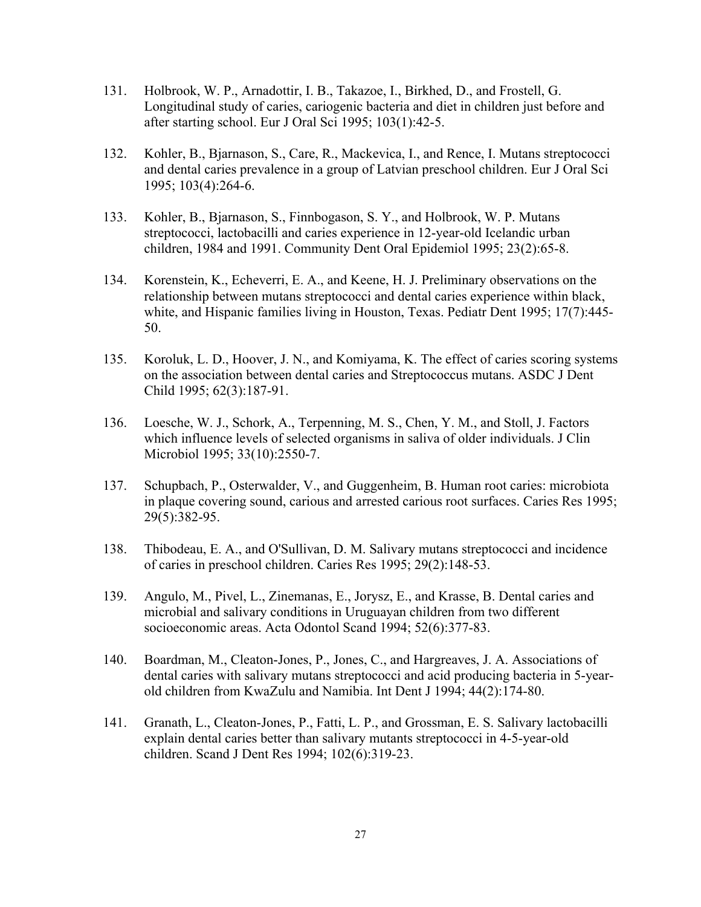- 131. Holbrook, W. P., Arnadottir, I. B., Takazoe, I., Birkhed, D., and Frostell, G. Longitudinal study of caries, cariogenic bacteria and diet in children just before and after starting school. Eur J Oral Sci 1995; 103(1):42-5.
- 132. Kohler, B., Bjarnason, S., Care, R., Mackevica, I., and Rence, I. Mutans streptococci and dental caries prevalence in a group of Latvian preschool children. Eur J Oral Sci 1995; 103(4):264-6.
- 133. Kohler, B., Bjarnason, S., Finnbogason, S. Y., and Holbrook, W. P. Mutans streptococci, lactobacilli and caries experience in 12-year-old Icelandic urban children, 1984 and 1991. Community Dent Oral Epidemiol 1995; 23(2):65-8.
- 134. Korenstein, K., Echeverri, E. A., and Keene, H. J. Preliminary observations on the relationship between mutans streptococci and dental caries experience within black, white, and Hispanic families living in Houston, Texas. Pediatr Dent 1995; 17(7):445- 50.
- 135. Koroluk, L. D., Hoover, J. N., and Komiyama, K. The effect of caries scoring systems on the association between dental caries and Streptococcus mutans. ASDC J Dent Child 1995; 62(3):187-91.
- 136. Loesche, W. J., Schork, A., Terpenning, M. S., Chen, Y. M., and Stoll, J. Factors which influence levels of selected organisms in saliva of older individuals. J Clin Microbiol 1995; 33(10):2550-7.
- 137. Schupbach, P., Osterwalder, V., and Guggenheim, B. Human root caries: microbiota in plaque covering sound, carious and arrested carious root surfaces. Caries Res 1995; 29(5):382-95.
- 138. Thibodeau, E. A., and O'Sullivan, D. M. Salivary mutans streptococci and incidence of caries in preschool children. Caries Res 1995; 29(2):148-53.
- 139. Angulo, M., Pivel, L., Zinemanas, E., Jorysz, E., and Krasse, B. Dental caries and microbial and salivary conditions in Uruguayan children from two different socioeconomic areas. Acta Odontol Scand 1994; 52(6):377-83.
- 140. Boardman, M., Cleaton-Jones, P., Jones, C., and Hargreaves, J. A. Associations of dental caries with salivary mutans streptococci and acid producing bacteria in 5-yearold children from KwaZulu and Namibia. Int Dent J 1994; 44(2):174-80.
- 141. Granath, L., Cleaton-Jones, P., Fatti, L. P., and Grossman, E. S. Salivary lactobacilli explain dental caries better than salivary mutants streptococci in 4-5-year-old children. Scand J Dent Res 1994; 102(6):319-23.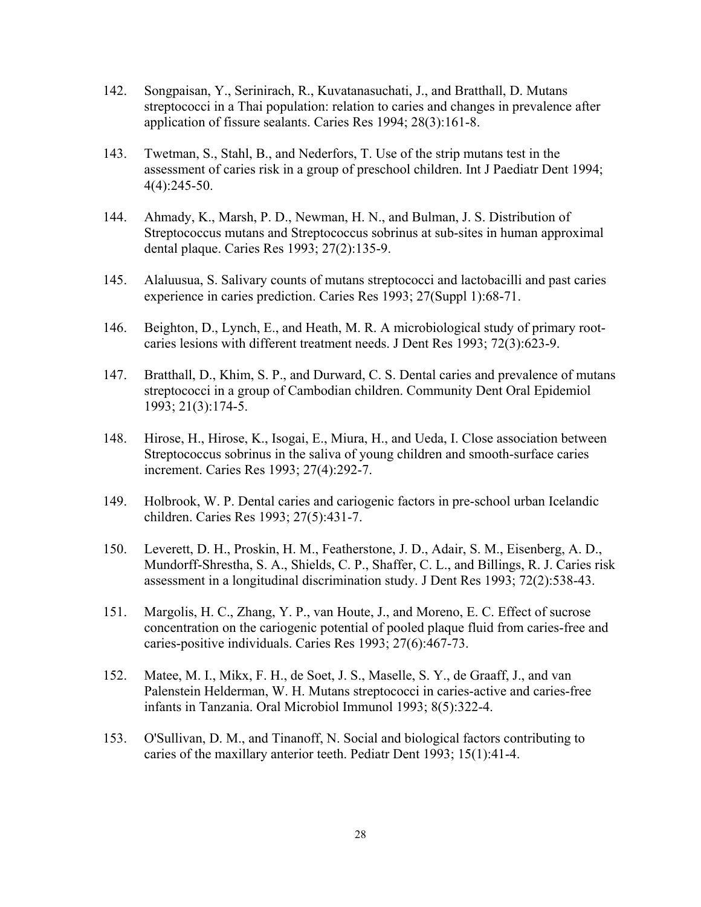- 142. Songpaisan, Y., Serinirach, R., Kuvatanasuchati, J., and Bratthall, D. Mutans streptococci in a Thai population: relation to caries and changes in prevalence after application of fissure sealants. Caries Res 1994; 28(3):161-8.
- 143. Twetman, S., Stahl, B., and Nederfors, T. Use of the strip mutans test in the assessment of caries risk in a group of preschool children. Int J Paediatr Dent 1994; 4(4):245-50.
- 144. Ahmady, K., Marsh, P. D., Newman, H. N., and Bulman, J. S. Distribution of Streptococcus mutans and Streptococcus sobrinus at sub-sites in human approximal dental plaque. Caries Res 1993; 27(2):135-9.
- 145. Alaluusua, S. Salivary counts of mutans streptococci and lactobacilli and past caries experience in caries prediction. Caries Res 1993; 27(Suppl 1):68-71.
- 146. Beighton, D., Lynch, E., and Heath, M. R. A microbiological study of primary rootcaries lesions with different treatment needs. J Dent Res 1993; 72(3):623-9.
- 147. Bratthall, D., Khim, S. P., and Durward, C. S. Dental caries and prevalence of mutans streptococci in a group of Cambodian children. Community Dent Oral Epidemiol 1993; 21(3):174-5.
- 148. Hirose, H., Hirose, K., Isogai, E., Miura, H., and Ueda, I. Close association between Streptococcus sobrinus in the saliva of young children and smooth-surface caries increment. Caries Res 1993; 27(4):292-7.
- 149. Holbrook, W. P. Dental caries and cariogenic factors in pre-school urban Icelandic children. Caries Res 1993; 27(5):431-7.
- 150. Leverett, D. H., Proskin, H. M., Featherstone, J. D., Adair, S. M., Eisenberg, A. D., Mundorff-Shrestha, S. A., Shields, C. P., Shaffer, C. L., and Billings, R. J. Caries risk assessment in a longitudinal discrimination study. J Dent Res 1993; 72(2):538-43.
- 151. Margolis, H. C., Zhang, Y. P., van Houte, J., and Moreno, E. C. Effect of sucrose concentration on the cariogenic potential of pooled plaque fluid from caries-free and caries-positive individuals. Caries Res 1993; 27(6):467-73.
- 152. Matee, M. I., Mikx, F. H., de Soet, J. S., Maselle, S. Y., de Graaff, J., and van Palenstein Helderman, W. H. Mutans streptococci in caries-active and caries-free infants in Tanzania. Oral Microbiol Immunol 1993; 8(5):322-4.
- 153. O'Sullivan, D. M., and Tinanoff, N. Social and biological factors contributing to caries of the maxillary anterior teeth. Pediatr Dent 1993; 15(1):41-4.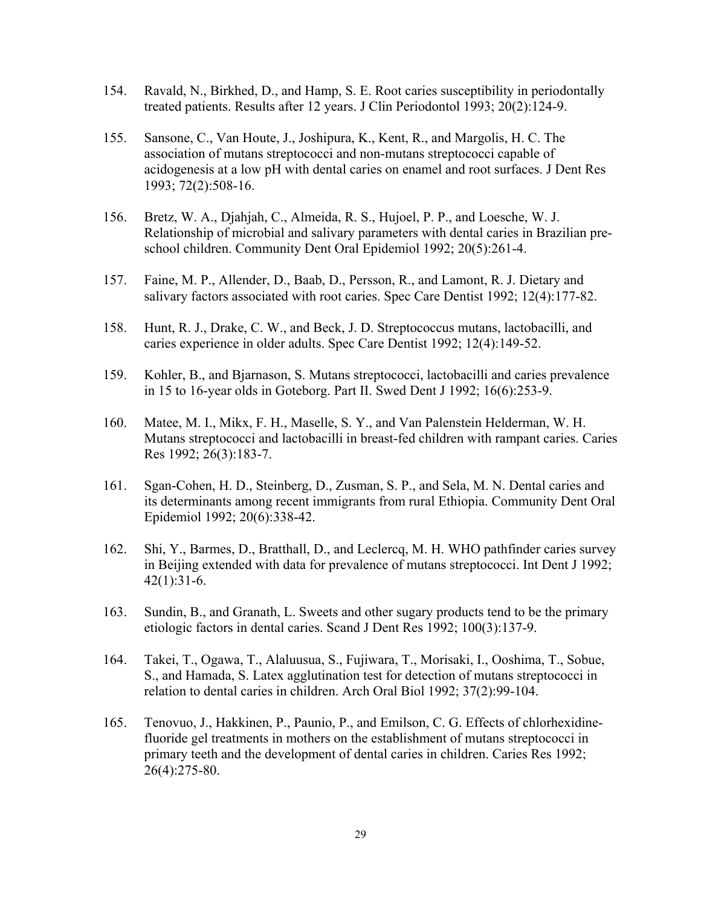- 154. Ravald, N., Birkhed, D., and Hamp, S. E. Root caries susceptibility in periodontally treated patients. Results after 12 years. J Clin Periodontol 1993; 20(2):124-9.
- 155. Sansone, C., Van Houte, J., Joshipura, K., Kent, R., and Margolis, H. C. The association of mutans streptococci and non-mutans streptococci capable of acidogenesis at a low pH with dental caries on enamel and root surfaces. J Dent Res 1993; 72(2):508-16.
- 156. Bretz, W. A., Djahjah, C., Almeida, R. S., Hujoel, P. P., and Loesche, W. J. Relationship of microbial and salivary parameters with dental caries in Brazilian preschool children. Community Dent Oral Epidemiol 1992; 20(5):261-4.
- 157. Faine, M. P., Allender, D., Baab, D., Persson, R., and Lamont, R. J. Dietary and salivary factors associated with root caries. Spec Care Dentist 1992; 12(4):177-82.
- 158. Hunt, R. J., Drake, C. W., and Beck, J. D. Streptococcus mutans, lactobacilli, and caries experience in older adults. Spec Care Dentist 1992; 12(4):149-52.
- 159. Kohler, B., and Bjarnason, S. Mutans streptococci, lactobacilli and caries prevalence in 15 to 16-year olds in Goteborg. Part II. Swed Dent J 1992; 16(6):253-9.
- 160. Matee, M. I., Mikx, F. H., Maselle, S. Y., and Van Palenstein Helderman, W. H. Mutans streptococci and lactobacilli in breast-fed children with rampant caries. Caries Res 1992; 26(3):183-7.
- 161. Sgan-Cohen, H. D., Steinberg, D., Zusman, S. P., and Sela, M. N. Dental caries and its determinants among recent immigrants from rural Ethiopia. Community Dent Oral Epidemiol 1992; 20(6):338-42.
- 162. Shi, Y., Barmes, D., Bratthall, D., and Leclercq, M. H. WHO pathfinder caries survey in Beijing extended with data for prevalence of mutans streptococci. Int Dent J 1992; 42(1):31-6.
- 163. Sundin, B., and Granath, L. Sweets and other sugary products tend to be the primary etiologic factors in dental caries. Scand J Dent Res 1992; 100(3):137-9.
- 164. Takei, T., Ogawa, T., Alaluusua, S., Fujiwara, T., Morisaki, I., Ooshima, T., Sobue, S., and Hamada, S. Latex agglutination test for detection of mutans streptococci in relation to dental caries in children. Arch Oral Biol 1992; 37(2):99-104.
- 165. Tenovuo, J., Hakkinen, P., Paunio, P., and Emilson, C. G. Effects of chlorhexidinefluoride gel treatments in mothers on the establishment of mutans streptococci in primary teeth and the development of dental caries in children. Caries Res 1992; 26(4):275-80.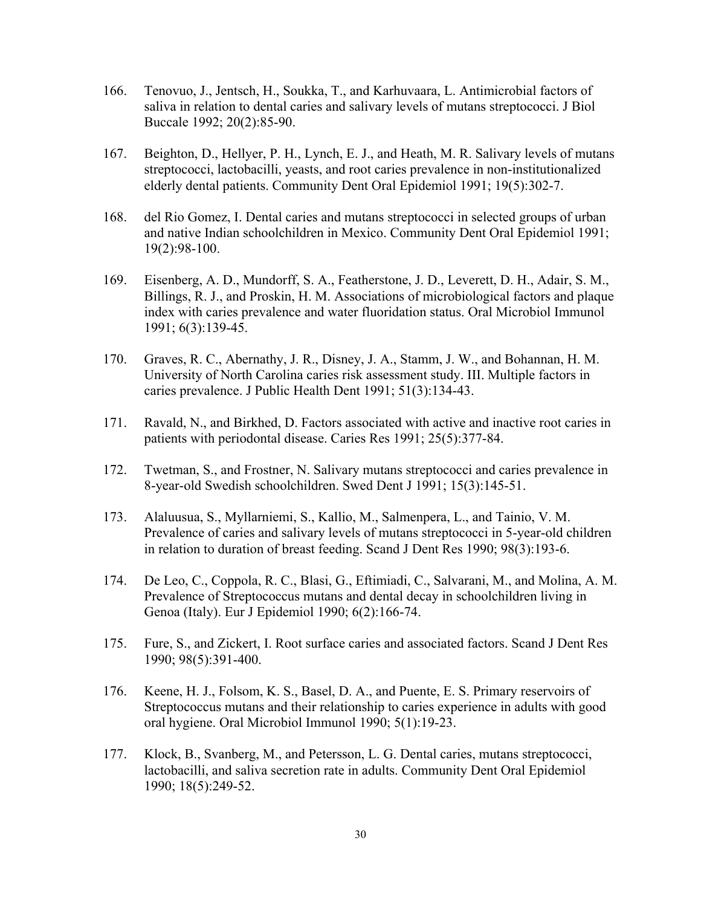- 166. Tenovuo, J., Jentsch, H., Soukka, T., and Karhuvaara, L. Antimicrobial factors of saliva in relation to dental caries and salivary levels of mutans streptococci. J Biol Buccale 1992; 20(2):85-90.
- 167. Beighton, D., Hellyer, P. H., Lynch, E. J., and Heath, M. R. Salivary levels of mutans streptococci, lactobacilli, yeasts, and root caries prevalence in non-institutionalized elderly dental patients. Community Dent Oral Epidemiol 1991; 19(5):302-7.
- 168. del Rio Gomez, I. Dental caries and mutans streptococci in selected groups of urban and native Indian schoolchildren in Mexico. Community Dent Oral Epidemiol 1991; 19(2):98-100.
- 169. Eisenberg, A. D., Mundorff, S. A., Featherstone, J. D., Leverett, D. H., Adair, S. M., Billings, R. J., and Proskin, H. M. Associations of microbiological factors and plaque index with caries prevalence and water fluoridation status. Oral Microbiol Immunol 1991; 6(3):139-45.
- 170. Graves, R. C., Abernathy, J. R., Disney, J. A., Stamm, J. W., and Bohannan, H. M. University of North Carolina caries risk assessment study. III. Multiple factors in caries prevalence. J Public Health Dent 1991; 51(3):134-43.
- 171. Ravald, N., and Birkhed, D. Factors associated with active and inactive root caries in patients with periodontal disease. Caries Res 1991; 25(5):377-84.
- 172. Twetman, S., and Frostner, N. Salivary mutans streptococci and caries prevalence in 8-year-old Swedish schoolchildren. Swed Dent J 1991; 15(3):145-51.
- 173. Alaluusua, S., Myllarniemi, S., Kallio, M., Salmenpera, L., and Tainio, V. M. Prevalence of caries and salivary levels of mutans streptococci in 5-year-old children in relation to duration of breast feeding. Scand J Dent Res 1990; 98(3):193-6.
- 174. De Leo, C., Coppola, R. C., Blasi, G., Eftimiadi, C., Salvarani, M., and Molina, A. M. Prevalence of Streptococcus mutans and dental decay in schoolchildren living in Genoa (Italy). Eur J Epidemiol 1990; 6(2):166-74.
- 175. Fure, S., and Zickert, I. Root surface caries and associated factors. Scand J Dent Res 1990; 98(5):391-400.
- 176. Keene, H. J., Folsom, K. S., Basel, D. A., and Puente, E. S. Primary reservoirs of Streptococcus mutans and their relationship to caries experience in adults with good oral hygiene. Oral Microbiol Immunol 1990; 5(1):19-23.
- 177. Klock, B., Svanberg, M., and Petersson, L. G. Dental caries, mutans streptococci, lactobacilli, and saliva secretion rate in adults. Community Dent Oral Epidemiol 1990; 18(5):249-52.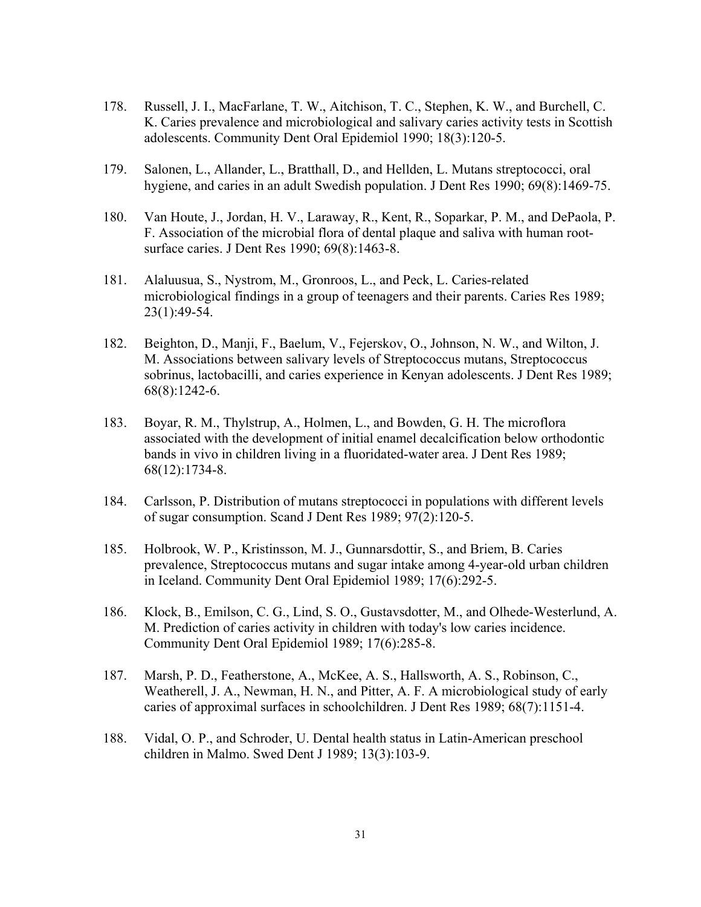- 178. Russell, J. I., MacFarlane, T. W., Aitchison, T. C., Stephen, K. W., and Burchell, C. K. Caries prevalence and microbiological and salivary caries activity tests in Scottish adolescents. Community Dent Oral Epidemiol 1990; 18(3):120-5.
- 179. Salonen, L., Allander, L., Bratthall, D., and Hellden, L. Mutans streptococci, oral hygiene, and caries in an adult Swedish population. J Dent Res 1990; 69(8):1469-75.
- 180. Van Houte, J., Jordan, H. V., Laraway, R., Kent, R., Soparkar, P. M., and DePaola, P. F. Association of the microbial flora of dental plaque and saliva with human rootsurface caries. J Dent Res 1990; 69(8):1463-8.
- 181. Alaluusua, S., Nystrom, M., Gronroos, L., and Peck, L. Caries-related microbiological findings in a group of teenagers and their parents. Caries Res 1989; 23(1):49-54.
- 182. Beighton, D., Manji, F., Baelum, V., Fejerskov, O., Johnson, N. W., and Wilton, J. M. Associations between salivary levels of Streptococcus mutans, Streptococcus sobrinus, lactobacilli, and caries experience in Kenyan adolescents. J Dent Res 1989; 68(8):1242-6.
- 183. Boyar, R. M., Thylstrup, A., Holmen, L., and Bowden, G. H. The microflora associated with the development of initial enamel decalcification below orthodontic bands in vivo in children living in a fluoridated-water area. J Dent Res 1989; 68(12):1734-8.
- 184. Carlsson, P. Distribution of mutans streptococci in populations with different levels of sugar consumption. Scand J Dent Res 1989; 97(2):120-5.
- 185. Holbrook, W. P., Kristinsson, M. J., Gunnarsdottir, S., and Briem, B. Caries prevalence, Streptococcus mutans and sugar intake among 4-year-old urban children in Iceland. Community Dent Oral Epidemiol 1989; 17(6):292-5.
- 186. Klock, B., Emilson, C. G., Lind, S. O., Gustavsdotter, M., and Olhede-Westerlund, A. M. Prediction of caries activity in children with today's low caries incidence. Community Dent Oral Epidemiol 1989; 17(6):285-8.
- 187. Marsh, P. D., Featherstone, A., McKee, A. S., Hallsworth, A. S., Robinson, C., Weatherell, J. A., Newman, H. N., and Pitter, A. F. A microbiological study of early caries of approximal surfaces in schoolchildren. J Dent Res 1989; 68(7):1151-4.
- 188. Vidal, O. P., and Schroder, U. Dental health status in Latin-American preschool children in Malmo. Swed Dent J 1989; 13(3):103-9.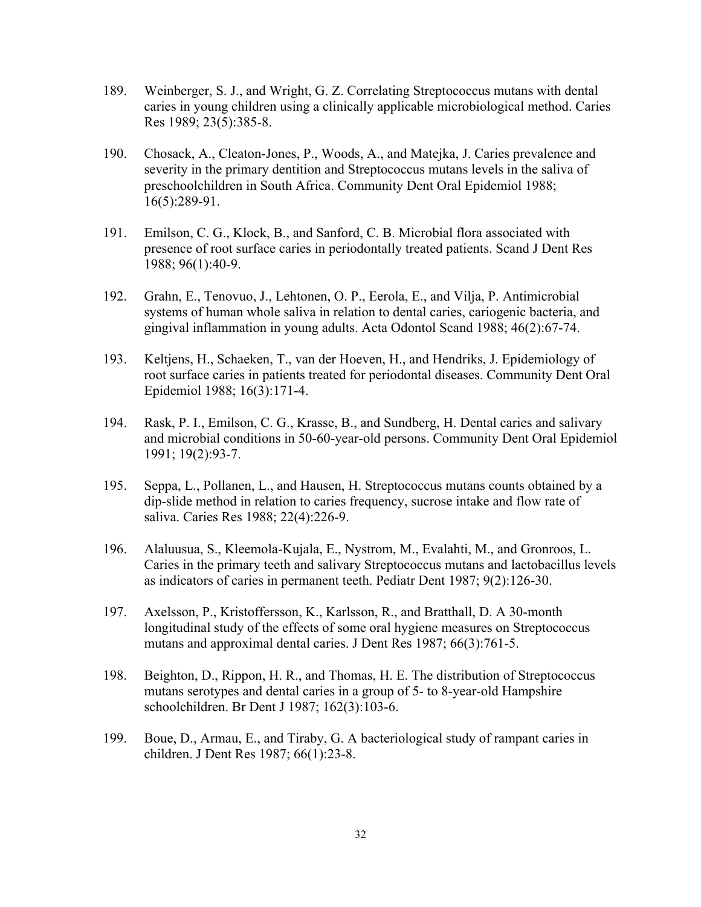- 189. Weinberger, S. J., and Wright, G. Z. Correlating Streptococcus mutans with dental caries in young children using a clinically applicable microbiological method. Caries Res 1989; 23(5):385-8.
- 190. Chosack, A., Cleaton-Jones, P., Woods, A., and Matejka, J. Caries prevalence and severity in the primary dentition and Streptococcus mutans levels in the saliva of preschoolchildren in South Africa. Community Dent Oral Epidemiol 1988; 16(5):289-91.
- 191. Emilson, C. G., Klock, B., and Sanford, C. B. Microbial flora associated with presence of root surface caries in periodontally treated patients. Scand J Dent Res 1988; 96(1):40-9.
- 192. Grahn, E., Tenovuo, J., Lehtonen, O. P., Eerola, E., and Vilja, P. Antimicrobial systems of human whole saliva in relation to dental caries, cariogenic bacteria, and gingival inflammation in young adults. Acta Odontol Scand 1988; 46(2):67-74.
- 193. Keltjens, H., Schaeken, T., van der Hoeven, H., and Hendriks, J. Epidemiology of root surface caries in patients treated for periodontal diseases. Community Dent Oral Epidemiol 1988; 16(3):171-4.
- 194. Rask, P. I., Emilson, C. G., Krasse, B., and Sundberg, H. Dental caries and salivary and microbial conditions in 50-60-year-old persons. Community Dent Oral Epidemiol 1991; 19(2):93-7.
- 195. Seppa, L., Pollanen, L., and Hausen, H. Streptococcus mutans counts obtained by a dip-slide method in relation to caries frequency, sucrose intake and flow rate of saliva. Caries Res 1988; 22(4):226-9.
- 196. Alaluusua, S., Kleemola-Kujala, E., Nystrom, M., Evalahti, M., and Gronroos, L. Caries in the primary teeth and salivary Streptococcus mutans and lactobacillus levels as indicators of caries in permanent teeth. Pediatr Dent 1987; 9(2):126-30.
- 197. Axelsson, P., Kristoffersson, K., Karlsson, R., and Bratthall, D. A 30-month longitudinal study of the effects of some oral hygiene measures on Streptococcus mutans and approximal dental caries. J Dent Res 1987; 66(3):761-5.
- 198. Beighton, D., Rippon, H. R., and Thomas, H. E. The distribution of Streptococcus mutans serotypes and dental caries in a group of 5- to 8-year-old Hampshire schoolchildren. Br Dent J 1987; 162(3):103-6.
- 199. Boue, D., Armau, E., and Tiraby, G. A bacteriological study of rampant caries in children. J Dent Res 1987; 66(1):23-8.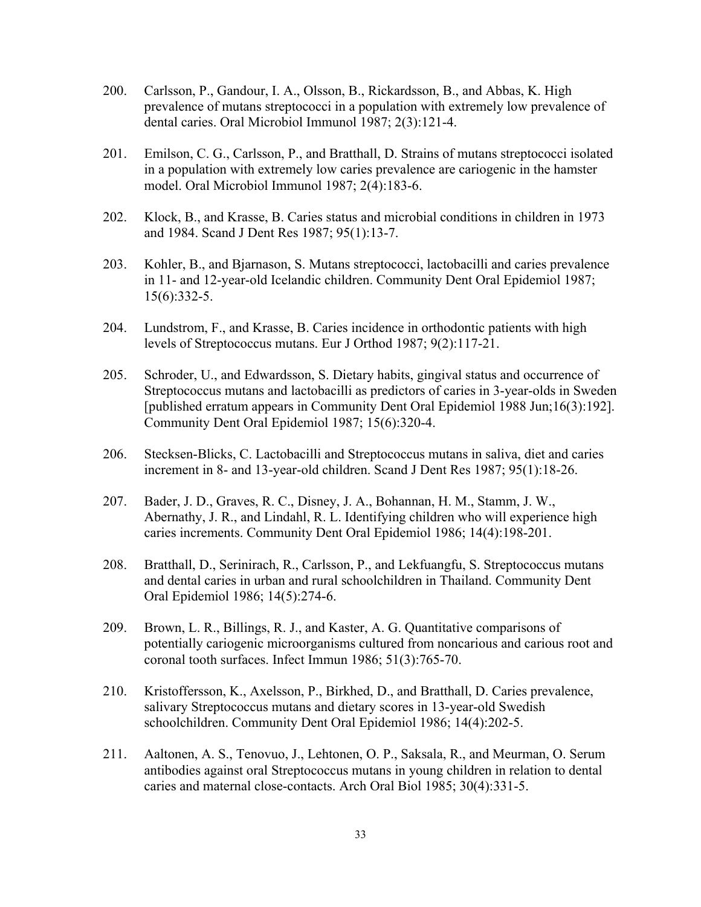- 200. Carlsson, P., Gandour, I. A., Olsson, B., Rickardsson, B., and Abbas, K. High prevalence of mutans streptococci in a population with extremely low prevalence of dental caries. Oral Microbiol Immunol 1987; 2(3):121-4.
- 201. Emilson, C. G., Carlsson, P., and Bratthall, D. Strains of mutans streptococci isolated in a population with extremely low caries prevalence are cariogenic in the hamster model. Oral Microbiol Immunol 1987; 2(4):183-6.
- 202. Klock, B., and Krasse, B. Caries status and microbial conditions in children in 1973 and 1984. Scand J Dent Res 1987; 95(1):13-7.
- 203. Kohler, B., and Bjarnason, S. Mutans streptococci, lactobacilli and caries prevalence in 11- and 12-year-old Icelandic children. Community Dent Oral Epidemiol 1987; 15(6):332-5.
- 204. Lundstrom, F., and Krasse, B. Caries incidence in orthodontic patients with high levels of Streptococcus mutans. Eur J Orthod 1987; 9(2):117-21.
- 205. Schroder, U., and Edwardsson, S. Dietary habits, gingival status and occurrence of Streptococcus mutans and lactobacilli as predictors of caries in 3-year-olds in Sweden [published erratum appears in Community Dent Oral Epidemiol 1988 Jun;16(3):192]. Community Dent Oral Epidemiol 1987; 15(6):320-4.
- 206. Stecksen-Blicks, C. Lactobacilli and Streptococcus mutans in saliva, diet and caries increment in 8- and 13-year-old children. Scand J Dent Res 1987; 95(1):18-26.
- 207. Bader, J. D., Graves, R. C., Disney, J. A., Bohannan, H. M., Stamm, J. W., Abernathy, J. R., and Lindahl, R. L. Identifying children who will experience high caries increments. Community Dent Oral Epidemiol 1986; 14(4):198-201.
- 208. Bratthall, D., Serinirach, R., Carlsson, P., and Lekfuangfu, S. Streptococcus mutans and dental caries in urban and rural schoolchildren in Thailand. Community Dent Oral Epidemiol 1986; 14(5):274-6.
- 209. Brown, L. R., Billings, R. J., and Kaster, A. G. Quantitative comparisons of potentially cariogenic microorganisms cultured from noncarious and carious root and coronal tooth surfaces. Infect Immun 1986; 51(3):765-70.
- 210. Kristoffersson, K., Axelsson, P., Birkhed, D., and Bratthall, D. Caries prevalence, salivary Streptococcus mutans and dietary scores in 13-year-old Swedish schoolchildren. Community Dent Oral Epidemiol 1986; 14(4):202-5.
- 211. Aaltonen, A. S., Tenovuo, J., Lehtonen, O. P., Saksala, R., and Meurman, O. Serum antibodies against oral Streptococcus mutans in young children in relation to dental caries and maternal close-contacts. Arch Oral Biol 1985; 30(4):331-5.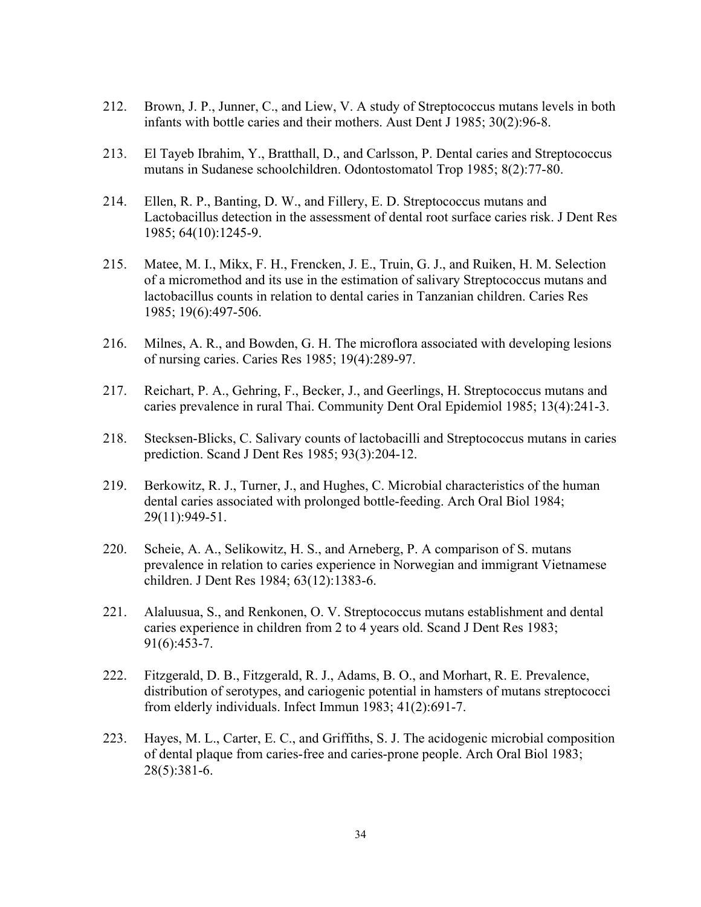- 212. Brown, J. P., Junner, C., and Liew, V. A study of Streptococcus mutans levels in both infants with bottle caries and their mothers. Aust Dent J 1985; 30(2):96-8.
- 213. El Tayeb Ibrahim, Y., Bratthall, D., and Carlsson, P. Dental caries and Streptococcus mutans in Sudanese schoolchildren. Odontostomatol Trop 1985; 8(2):77-80.
- 214. Ellen, R. P., Banting, D. W., and Fillery, E. D. Streptococcus mutans and Lactobacillus detection in the assessment of dental root surface caries risk. J Dent Res 1985; 64(10):1245-9.
- 215. Matee, M. I., Mikx, F. H., Frencken, J. E., Truin, G. J., and Ruiken, H. M. Selection of a micromethod and its use in the estimation of salivary Streptococcus mutans and lactobacillus counts in relation to dental caries in Tanzanian children. Caries Res 1985; 19(6):497-506.
- 216. Milnes, A. R., and Bowden, G. H. The microflora associated with developing lesions of nursing caries. Caries Res 1985; 19(4):289-97.
- 217. Reichart, P. A., Gehring, F., Becker, J., and Geerlings, H. Streptococcus mutans and caries prevalence in rural Thai. Community Dent Oral Epidemiol 1985; 13(4):241-3.
- 218. Stecksen-Blicks, C. Salivary counts of lactobacilli and Streptococcus mutans in caries prediction. Scand J Dent Res 1985; 93(3):204-12.
- 219. Berkowitz, R. J., Turner, J., and Hughes, C. Microbial characteristics of the human dental caries associated with prolonged bottle-feeding. Arch Oral Biol 1984; 29(11):949-51.
- 220. Scheie, A. A., Selikowitz, H. S., and Arneberg, P. A comparison of S. mutans prevalence in relation to caries experience in Norwegian and immigrant Vietnamese children. J Dent Res 1984; 63(12):1383-6.
- 221. Alaluusua, S., and Renkonen, O. V. Streptococcus mutans establishment and dental caries experience in children from 2 to 4 years old. Scand J Dent Res 1983; 91(6):453-7.
- 222. Fitzgerald, D. B., Fitzgerald, R. J., Adams, B. O., and Morhart, R. E. Prevalence, distribution of serotypes, and cariogenic potential in hamsters of mutans streptococci from elderly individuals. Infect Immun 1983; 41(2):691-7.
- 223. Hayes, M. L., Carter, E. C., and Griffiths, S. J. The acidogenic microbial composition of dental plaque from caries-free and caries-prone people. Arch Oral Biol 1983; 28(5):381-6.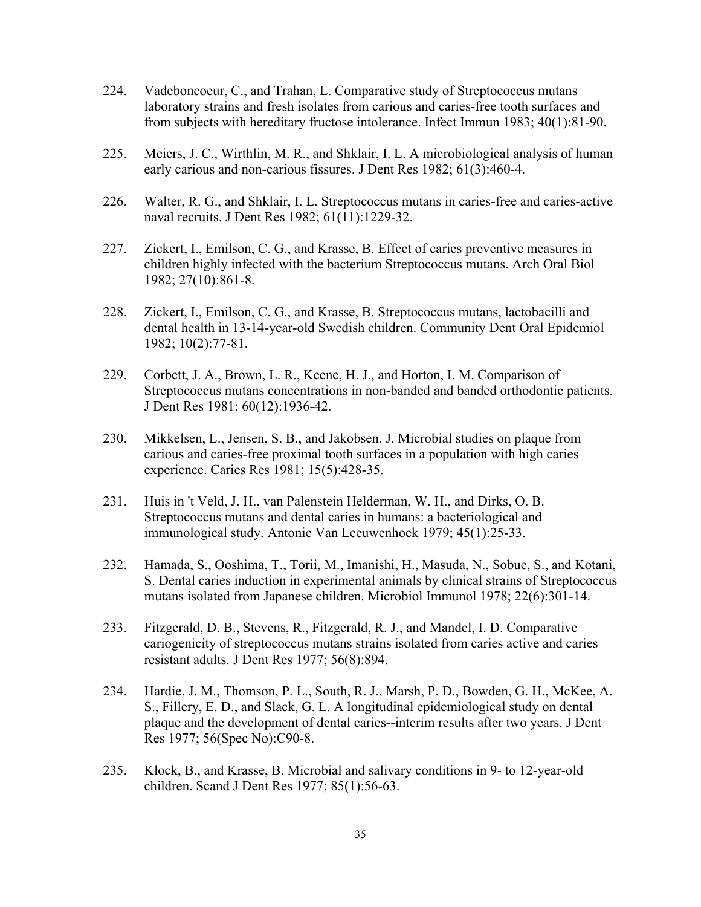- 224. Vadeboncoeur, C., and Trahan, L. Comparative study of Streptococcus mutans laboratory strains and fresh isolates from carious and caries-free tooth surfaces and from subjects with hereditary fructose intolerance. Infect Immun 1983; 40(1):81-90.
- 225. Meiers, J. C., Wirthlin, M. R., and Shklair, I. L. A microbiological analysis of human early carious and non-carious fissures. J Dent Res 1982; 61(3):460-4.
- 226. Walter, R. G., and Shklair, I. L. Streptococcus mutans in caries-free and caries-active naval recruits. J Dent Res 1982; 61(11):1229-32.
- 227. Zickert, I., Emilson, C. G., and Krasse, B. Effect of caries preventive measures in children highly infected with the bacterium Streptococcus mutans. Arch Oral Biol 1982; 27(10):861-8.
- 228. Zickert, I., Emilson, C. G., and Krasse, B. Streptococcus mutans, lactobacilli and dental health in 13-14-year-old Swedish children. Community Dent Oral Epidemiol 1982; 10(2):77-81.
- 229. Corbett, J. A., Brown, L. R., Keene, H. J., and Horton, I. M. Comparison of Streptococcus mutans concentrations in non-banded and banded orthodontic patients. J Dent Res 1981; 60(12):1936-42.
- 230. Mikkelsen, L., Jensen, S. B., and Jakobsen, J. Microbial studies on plaque from carious and caries-free proximal tooth surfaces in a population with high caries experience. Caries Res 1981; 15(5):428-35.
- 231. Huis in 't Veld, J. H., van Palenstein Helderman, W. H., and Dirks, O. B. Streptococcus mutans and dental caries in humans: a bacteriological and immunological study. Antonie Van Leeuwenhoek 1979; 45(1):25-33.
- 232. Hamada, S., Ooshima, T., Torii, M., Imanishi, H., Masuda, N., Sobue, S., and Kotani, S. Dental caries induction in experimental animals by clinical strains of Streptococcus mutans isolated from Japanese children. Microbiol Immunol 1978; 22(6):301-14.
- 233. Fitzgerald, D. B., Stevens, R., Fitzgerald, R. J., and Mandel, I. D. Comparative cariogenicity of streptococcus mutans strains isolated from caries active and caries resistant adults. J Dent Res 1977; 56(8):894.
- 234. Hardie, J. M., Thomson, P. L., South, R. J., Marsh, P. D., Bowden, G. H., McKee, A. S., Fillery, E. D., and Slack, G. L. A longitudinal epidemiological study on dental plaque and the development of dental caries--interim results after two years. J Dent Res 1977; 56(Spec No):C90-8.
- 235. Klock, B., and Krasse, B. Microbial and salivary conditions in 9- to 12-year-old children. Scand J Dent Res 1977; 85(1):56-63.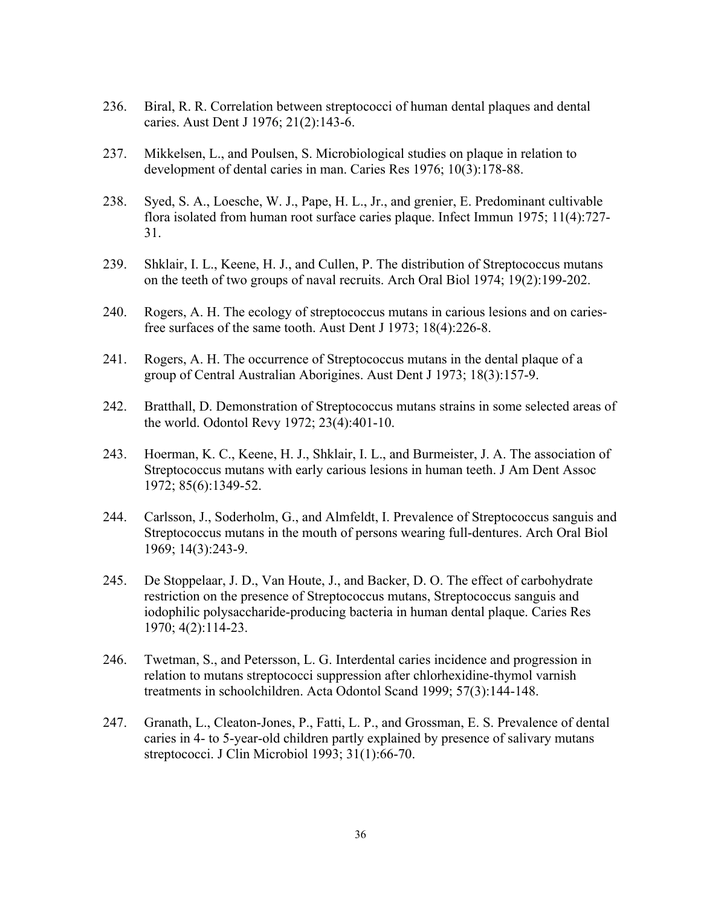- 236. Biral, R. R. Correlation between streptococci of human dental plaques and dental caries. Aust Dent J 1976; 21(2):143-6.
- 237. Mikkelsen, L., and Poulsen, S. Microbiological studies on plaque in relation to development of dental caries in man. Caries Res 1976; 10(3):178-88.
- 238. Syed, S. A., Loesche, W. J., Pape, H. L., Jr., and grenier, E. Predominant cultivable flora isolated from human root surface caries plaque. Infect Immun 1975; 11(4):727- 31.
- 239. Shklair, I. L., Keene, H. J., and Cullen, P. The distribution of Streptococcus mutans on the teeth of two groups of naval recruits. Arch Oral Biol 1974; 19(2):199-202.
- 240. Rogers, A. H. The ecology of streptococcus mutans in carious lesions and on cariesfree surfaces of the same tooth. Aust Dent J 1973; 18(4):226-8.
- 241. Rogers, A. H. The occurrence of Streptococcus mutans in the dental plaque of a group of Central Australian Aborigines. Aust Dent J 1973; 18(3):157-9.
- 242. Bratthall, D. Demonstration of Streptococcus mutans strains in some selected areas of the world. Odontol Revy 1972; 23(4):401-10.
- 243. Hoerman, K. C., Keene, H. J., Shklair, I. L., and Burmeister, J. A. The association of Streptococcus mutans with early carious lesions in human teeth. J Am Dent Assoc 1972; 85(6):1349-52.
- 244. Carlsson, J., Soderholm, G., and Almfeldt, I. Prevalence of Streptococcus sanguis and Streptococcus mutans in the mouth of persons wearing full-dentures. Arch Oral Biol 1969; 14(3):243-9.
- 245. De Stoppelaar, J. D., Van Houte, J., and Backer, D. O. The effect of carbohydrate restriction on the presence of Streptococcus mutans, Streptococcus sanguis and iodophilic polysaccharide-producing bacteria in human dental plaque. Caries Res 1970; 4(2):114-23.
- 246. Twetman, S., and Petersson, L. G. Interdental caries incidence and progression in relation to mutans streptococci suppression after chlorhexidine-thymol varnish treatments in schoolchildren. Acta Odontol Scand 1999; 57(3):144-148.
- 247. Granath, L., Cleaton-Jones, P., Fatti, L. P., and Grossman, E. S. Prevalence of dental caries in 4- to 5-year-old children partly explained by presence of salivary mutans streptococci. J Clin Microbiol 1993; 31(1):66-70.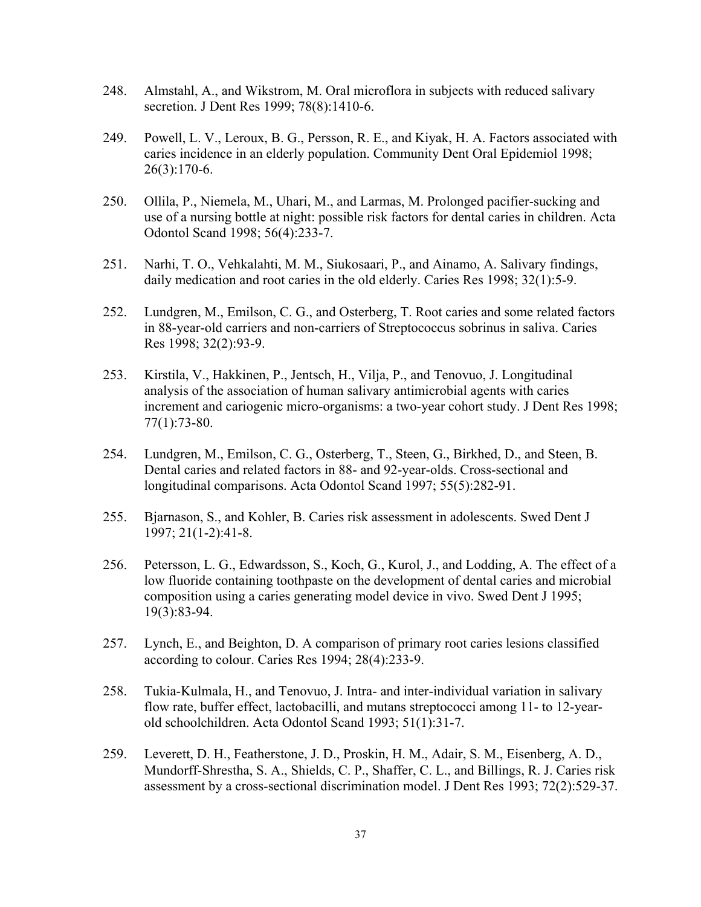- 248. Almstahl, A., and Wikstrom, M. Oral microflora in subjects with reduced salivary secretion. J Dent Res 1999; 78(8):1410-6.
- 249. Powell, L. V., Leroux, B. G., Persson, R. E., and Kiyak, H. A. Factors associated with caries incidence in an elderly population. Community Dent Oral Epidemiol 1998; 26(3):170-6.
- 250. Ollila, P., Niemela, M., Uhari, M., and Larmas, M. Prolonged pacifier-sucking and use of a nursing bottle at night: possible risk factors for dental caries in children. Acta Odontol Scand 1998; 56(4):233-7.
- 251. Narhi, T. O., Vehkalahti, M. M., Siukosaari, P., and Ainamo, A. Salivary findings, daily medication and root caries in the old elderly. Caries Res 1998; 32(1):5-9.
- 252. Lundgren, M., Emilson, C. G., and Osterberg, T. Root caries and some related factors in 88-year-old carriers and non-carriers of Streptococcus sobrinus in saliva. Caries Res 1998; 32(2):93-9.
- 253. Kirstila, V., Hakkinen, P., Jentsch, H., Vilja, P., and Tenovuo, J. Longitudinal analysis of the association of human salivary antimicrobial agents with caries increment and cariogenic micro-organisms: a two-year cohort study. J Dent Res 1998; 77(1):73-80.
- 254. Lundgren, M., Emilson, C. G., Osterberg, T., Steen, G., Birkhed, D., and Steen, B. Dental caries and related factors in 88- and 92-year-olds. Cross-sectional and longitudinal comparisons. Acta Odontol Scand 1997; 55(5):282-91.
- 255. Bjarnason, S., and Kohler, B. Caries risk assessment in adolescents. Swed Dent J 1997; 21(1-2):41-8.
- 256. Petersson, L. G., Edwardsson, S., Koch, G., Kurol, J., and Lodding, A. The effect of a low fluoride containing toothpaste on the development of dental caries and microbial composition using a caries generating model device in vivo. Swed Dent J 1995; 19(3):83-94.
- 257. Lynch, E., and Beighton, D. A comparison of primary root caries lesions classified according to colour. Caries Res 1994; 28(4):233-9.
- 258. Tukia-Kulmala, H., and Tenovuo, J. Intra- and inter-individual variation in salivary flow rate, buffer effect, lactobacilli, and mutans streptococci among 11- to 12-yearold schoolchildren. Acta Odontol Scand 1993; 51(1):31-7.
- 259. Leverett, D. H., Featherstone, J. D., Proskin, H. M., Adair, S. M., Eisenberg, A. D., Mundorff-Shrestha, S. A., Shields, C. P., Shaffer, C. L., and Billings, R. J. Caries risk assessment by a cross-sectional discrimination model. J Dent Res 1993; 72(2):529-37.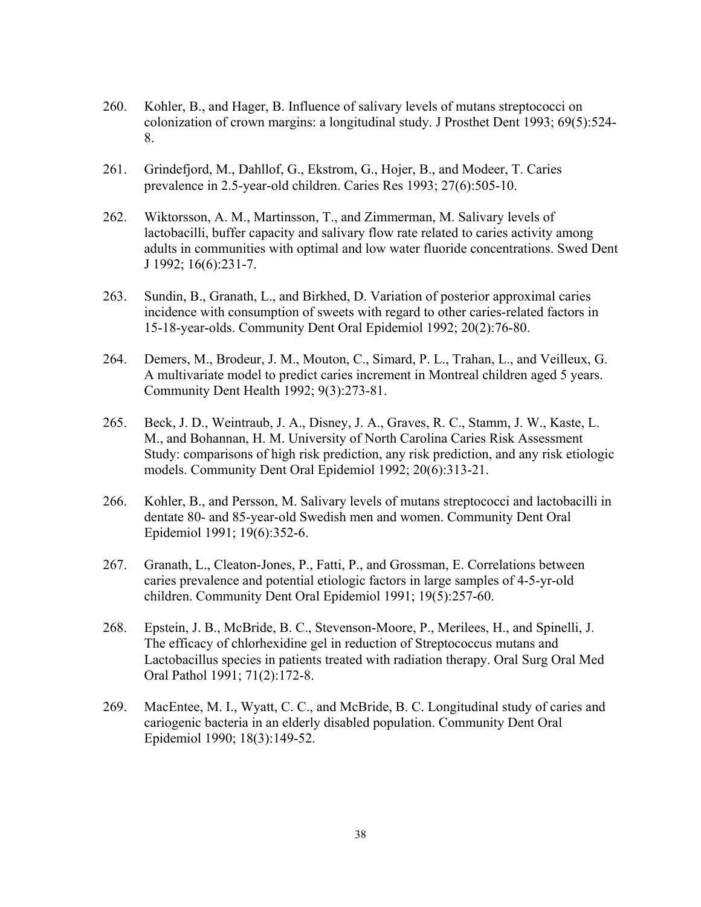- 260. Kohler, B., and Hager, B. Influence of salivary levels of mutans streptococci on colonization of crown margins: a longitudinal study. J Prosthet Dent 1993; 69(5):524- 8.
- 261. Grindefjord, M., Dahllof, G., Ekstrom, G., Hojer, B., and Modeer, T. Caries prevalence in 2.5-year-old children. Caries Res 1993; 27(6):505-10.
- 262. Wiktorsson, A. M., Martinsson, T., and Zimmerman, M. Salivary levels of lactobacilli, buffer capacity and salivary flow rate related to caries activity among adults in communities with optimal and low water fluoride concentrations. Swed Dent J 1992; 16(6):231-7.
- 263. Sundin, B., Granath, L., and Birkhed, D. Variation of posterior approximal caries incidence with consumption of sweets with regard to other caries-related factors in 15-18-year-olds. Community Dent Oral Epidemiol 1992; 20(2):76-80.
- 264. Demers, M., Brodeur, J. M., Mouton, C., Simard, P. L., Trahan, L., and Veilleux, G. A multivariate model to predict caries increment in Montreal children aged 5 years. Community Dent Health 1992; 9(3):273-81.
- 265. Beck, J. D., Weintraub, J. A., Disney, J. A., Graves, R. C., Stamm, J. W., Kaste, L. M., and Bohannan, H. M. University of North Carolina Caries Risk Assessment Study: comparisons of high risk prediction, any risk prediction, and any risk etiologic models. Community Dent Oral Epidemiol 1992; 20(6):313-21.
- 266. Kohler, B., and Persson, M. Salivary levels of mutans streptococci and lactobacilli in dentate 80- and 85-year-old Swedish men and women. Community Dent Oral Epidemiol 1991; 19(6):352-6.
- 267. Granath, L., Cleaton-Jones, P., Fatti, P., and Grossman, E. Correlations between caries prevalence and potential etiologic factors in large samples of 4-5-yr-old children. Community Dent Oral Epidemiol 1991; 19(5):257-60.
- 268. Epstein, J. B., McBride, B. C., Stevenson-Moore, P., Merilees, H., and Spinelli, J. The efficacy of chlorhexidine gel in reduction of Streptococcus mutans and Lactobacillus species in patients treated with radiation therapy. Oral Surg Oral Med Oral Pathol 1991; 71(2):172-8.
- 269. MacEntee, M. I., Wyatt, C. C., and McBride, B. C. Longitudinal study of caries and cariogenic bacteria in an elderly disabled population. Community Dent Oral Epidemiol 1990; 18(3):149-52.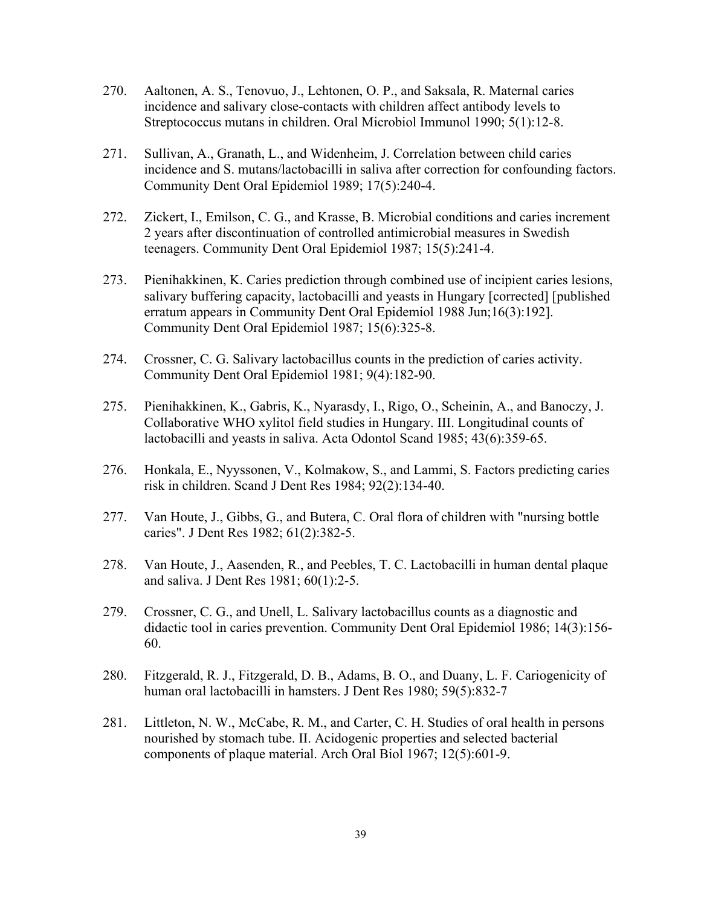- 270. Aaltonen, A. S., Tenovuo, J., Lehtonen, O. P., and Saksala, R. Maternal caries incidence and salivary close-contacts with children affect antibody levels to Streptococcus mutans in children. Oral Microbiol Immunol 1990; 5(1):12-8.
- 271. Sullivan, A., Granath, L., and Widenheim, J. Correlation between child caries incidence and S. mutans/lactobacilli in saliva after correction for confounding factors. Community Dent Oral Epidemiol 1989; 17(5):240-4.
- 272. Zickert, I., Emilson, C. G., and Krasse, B. Microbial conditions and caries increment 2 years after discontinuation of controlled antimicrobial measures in Swedish teenagers. Community Dent Oral Epidemiol 1987; 15(5):241-4.
- 273. Pienihakkinen, K. Caries prediction through combined use of incipient caries lesions, salivary buffering capacity, lactobacilli and yeasts in Hungary [corrected] [published erratum appears in Community Dent Oral Epidemiol 1988 Jun;16(3):192]. Community Dent Oral Epidemiol 1987; 15(6):325-8.
- 274. Crossner, C. G. Salivary lactobacillus counts in the prediction of caries activity. Community Dent Oral Epidemiol 1981; 9(4):182-90.
- 275. Pienihakkinen, K., Gabris, K., Nyarasdy, I., Rigo, O., Scheinin, A., and Banoczy, J. Collaborative WHO xylitol field studies in Hungary. III. Longitudinal counts of lactobacilli and yeasts in saliva. Acta Odontol Scand 1985; 43(6):359-65.
- 276. Honkala, E., Nyyssonen, V., Kolmakow, S., and Lammi, S. Factors predicting caries risk in children. Scand J Dent Res 1984; 92(2):134-40.
- 277. Van Houte, J., Gibbs, G., and Butera, C. Oral flora of children with "nursing bottle caries". J Dent Res 1982; 61(2):382-5.
- 278. Van Houte, J., Aasenden, R., and Peebles, T. C. Lactobacilli in human dental plaque and saliva. J Dent Res 1981; 60(1):2-5.
- 279. Crossner, C. G., and Unell, L. Salivary lactobacillus counts as a diagnostic and didactic tool in caries prevention. Community Dent Oral Epidemiol 1986; 14(3):156- 60.
- 280. Fitzgerald, R. J., Fitzgerald, D. B., Adams, B. O., and Duany, L. F. Cariogenicity of human oral lactobacilli in hamsters. J Dent Res 1980; 59(5):832-7
- 281. Littleton, N. W., McCabe, R. M., and Carter, C. H. Studies of oral health in persons nourished by stomach tube. II. Acidogenic properties and selected bacterial components of plaque material. Arch Oral Biol 1967; 12(5):601-9.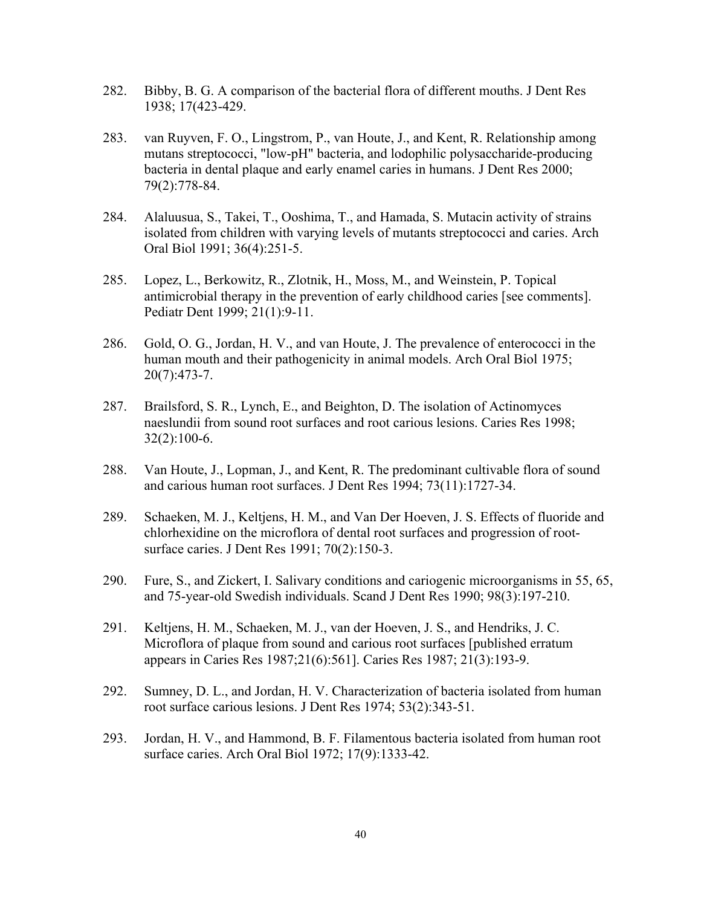- 282. Bibby, B. G. A comparison of the bacterial flora of different mouths. J Dent Res 1938; 17(423-429.
- 283. van Ruyven, F. O., Lingstrom, P., van Houte, J., and Kent, R. Relationship among mutans streptococci, "low-pH" bacteria, and lodophilic polysaccharide-producing bacteria in dental plaque and early enamel caries in humans. J Dent Res 2000; 79(2):778-84.
- 284. Alaluusua, S., Takei, T., Ooshima, T., and Hamada, S. Mutacin activity of strains isolated from children with varying levels of mutants streptococci and caries. Arch Oral Biol 1991; 36(4):251-5.
- 285. Lopez, L., Berkowitz, R., Zlotnik, H., Moss, M., and Weinstein, P. Topical antimicrobial therapy in the prevention of early childhood caries [see comments]. Pediatr Dent 1999; 21(1):9-11.
- 286. Gold, O. G., Jordan, H. V., and van Houte, J. The prevalence of enterococci in the human mouth and their pathogenicity in animal models. Arch Oral Biol 1975; 20(7):473-7.
- 287. Brailsford, S. R., Lynch, E., and Beighton, D. The isolation of Actinomyces naeslundii from sound root surfaces and root carious lesions. Caries Res 1998; 32(2):100-6.
- 288. Van Houte, J., Lopman, J., and Kent, R. The predominant cultivable flora of sound and carious human root surfaces. J Dent Res 1994; 73(11):1727-34.
- 289. Schaeken, M. J., Keltjens, H. M., and Van Der Hoeven, J. S. Effects of fluoride and chlorhexidine on the microflora of dental root surfaces and progression of rootsurface caries. J Dent Res 1991; 70(2):150-3.
- 290. Fure, S., and Zickert, I. Salivary conditions and cariogenic microorganisms in 55, 65, and 75-year-old Swedish individuals. Scand J Dent Res 1990; 98(3):197-210.
- 291. Keltjens, H. M., Schaeken, M. J., van der Hoeven, J. S., and Hendriks, J. C. Microflora of plaque from sound and carious root surfaces [published erratum appears in Caries Res 1987;21(6):561]. Caries Res 1987; 21(3):193-9.
- 292. Sumney, D. L., and Jordan, H. V. Characterization of bacteria isolated from human root surface carious lesions. J Dent Res 1974; 53(2):343-51.
- 293. Jordan, H. V., and Hammond, B. F. Filamentous bacteria isolated from human root surface caries. Arch Oral Biol 1972; 17(9):1333-42.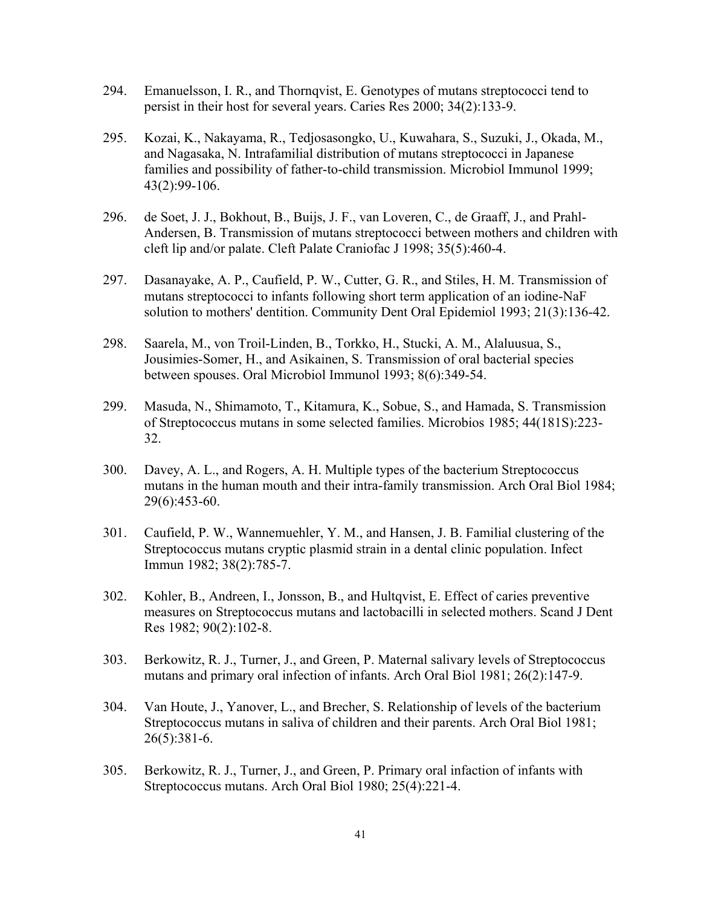- 294. Emanuelsson, I. R., and Thornqvist, E. Genotypes of mutans streptococci tend to persist in their host for several years. Caries Res 2000; 34(2):133-9.
- 295. Kozai, K., Nakayama, R., Tedjosasongko, U., Kuwahara, S., Suzuki, J., Okada, M., and Nagasaka, N. Intrafamilial distribution of mutans streptococci in Japanese families and possibility of father-to-child transmission. Microbiol Immunol 1999; 43(2):99-106.
- 296. de Soet, J. J., Bokhout, B., Buijs, J. F., van Loveren, C., de Graaff, J., and Prahl-Andersen, B. Transmission of mutans streptococci between mothers and children with cleft lip and/or palate. Cleft Palate Craniofac J 1998; 35(5):460-4.
- 297. Dasanayake, A. P., Caufield, P. W., Cutter, G. R., and Stiles, H. M. Transmission of mutans streptococci to infants following short term application of an iodine-NaF solution to mothers' dentition. Community Dent Oral Epidemiol 1993; 21(3):136-42.
- 298. Saarela, M., von Troil-Linden, B., Torkko, H., Stucki, A. M., Alaluusua, S., Jousimies-Somer, H., and Asikainen, S. Transmission of oral bacterial species between spouses. Oral Microbiol Immunol 1993; 8(6):349-54.
- 299. Masuda, N., Shimamoto, T., Kitamura, K., Sobue, S., and Hamada, S. Transmission of Streptococcus mutans in some selected families. Microbios 1985; 44(181S):223- 32.
- 300. Davey, A. L., and Rogers, A. H. Multiple types of the bacterium Streptococcus mutans in the human mouth and their intra-family transmission. Arch Oral Biol 1984; 29(6):453-60.
- 301. Caufield, P. W., Wannemuehler, Y. M., and Hansen, J. B. Familial clustering of the Streptococcus mutans cryptic plasmid strain in a dental clinic population. Infect Immun 1982; 38(2):785-7.
- 302. Kohler, B., Andreen, I., Jonsson, B., and Hultqvist, E. Effect of caries preventive measures on Streptococcus mutans and lactobacilli in selected mothers. Scand J Dent Res 1982; 90(2):102-8.
- 303. Berkowitz, R. J., Turner, J., and Green, P. Maternal salivary levels of Streptococcus mutans and primary oral infection of infants. Arch Oral Biol 1981; 26(2):147-9.
- 304. Van Houte, J., Yanover, L., and Brecher, S. Relationship of levels of the bacterium Streptococcus mutans in saliva of children and their parents. Arch Oral Biol 1981; 26(5):381-6.
- 305. Berkowitz, R. J., Turner, J., and Green, P. Primary oral infaction of infants with Streptococcus mutans. Arch Oral Biol 1980; 25(4):221-4.